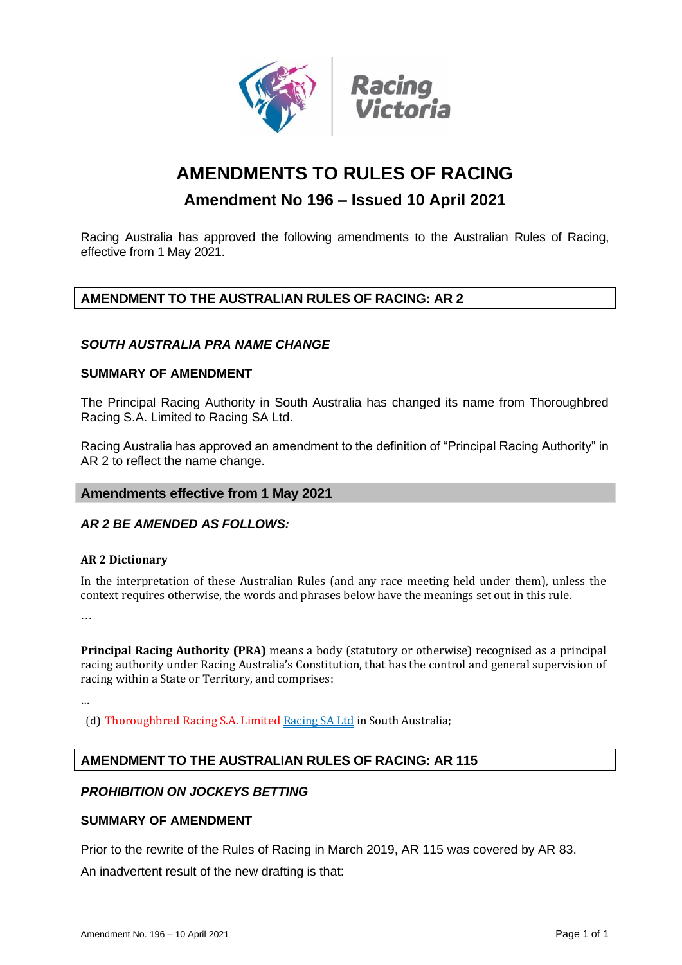

# **AMENDMENTS TO RULES OF RACING**

## **Amendment No 196 – Issued 10 April 2021**

Racing Australia has approved the following amendments to the Australian Rules of Racing, effective from 1 May 2021.

## **AMENDMENT TO THE AUSTRALIAN RULES OF RACING: AR 2**

## *SOUTH AUSTRALIA PRA NAME CHANGE*

## **SUMMARY OF AMENDMENT**

The Principal Racing Authority in South Australia has changed its name from Thoroughbred Racing S.A. Limited to Racing SA Ltd.

Racing Australia has approved an amendment to the definition of "Principal Racing Authority" in AR 2 to reflect the name change.

## **Amendments effective from 1 May 2021**

## *AR 2 BE AMENDED AS FOLLOWS:*

## **AR 2 Dictionary**

In the interpretation of these Australian Rules (and any race meeting held under them), unless the context requires otherwise, the words and phrases below have the meanings set out in this rule.

…

…

**Principal Racing Authority (PRA)** means a body (statutory or otherwise) recognised as a principal racing authority under Racing Australia's Constitution, that has the control and general supervision of racing within a State or Territory, and comprises:

(d) Thoroughbred Racing S.A. Limited Racing SA Ltd in South Australia;

## **AMENDMENT TO THE AUSTRALIAN RULES OF RACING: AR 115**

## *PROHIBITION ON JOCKEYS BETTING*

## **SUMMARY OF AMENDMENT**

Prior to the rewrite of the Rules of Racing in March 2019, AR 115 was covered by AR 83. An inadvertent result of the new drafting is that: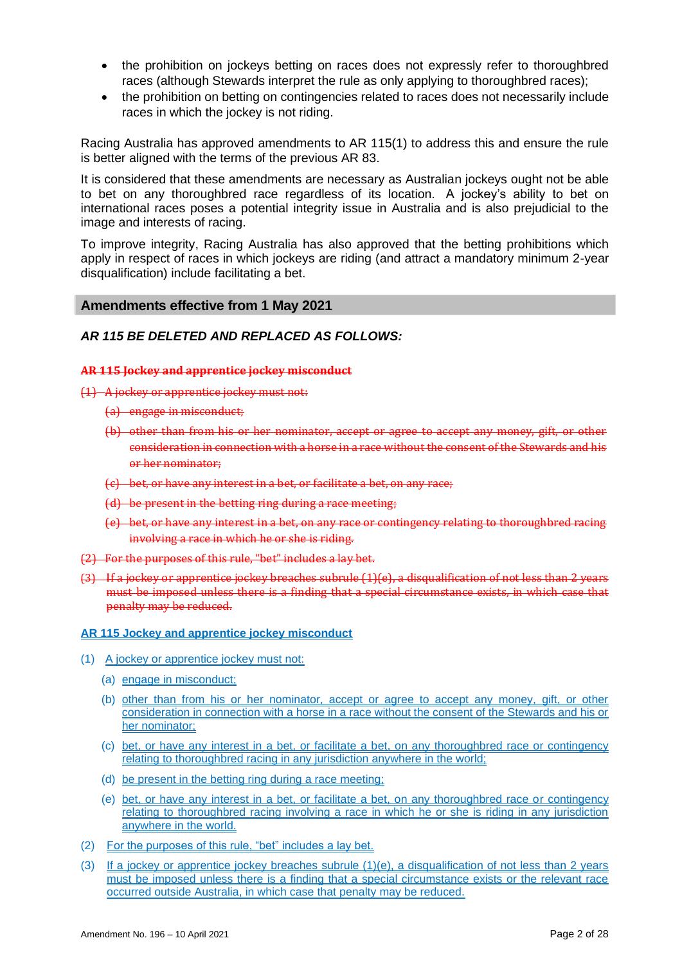- the prohibition on jockeys betting on races does not expressly refer to thoroughbred races (although Stewards interpret the rule as only applying to thoroughbred races);
- the prohibition on betting on contingencies related to races does not necessarily include races in which the jockey is not riding.

Racing Australia has approved amendments to AR 115(1) to address this and ensure the rule is better aligned with the terms of the previous AR 83.

It is considered that these amendments are necessary as Australian jockeys ought not be able to bet on any thoroughbred race regardless of its location. A jockey's ability to bet on international races poses a potential integrity issue in Australia and is also prejudicial to the image and interests of racing.

To improve integrity, Racing Australia has also approved that the betting prohibitions which apply in respect of races in which jockeys are riding (and attract a mandatory minimum 2-year disqualification) include facilitating a bet.

## **Amendments effective from 1 May 2021**

## *AR 115 BE DELETED AND REPLACED AS FOLLOWS:*

#### **AR 115 Jockey and apprentice jockey misconduct**

(1) A jockey or apprentice jockey must not:

- (a) engage in misconduct;
- (b) other than from his or her nominator, accept or agree to accept any money, gift, or other consideration in connection with a horse in a race without the consent of the Stewards and his or her nominator;
- (c) bet, or have any interest in a bet, or facilitate a bet, on any race;
- (d) be present in the betting ring during a race meeting;
- (e) bet, or have any interest in a bet, on any race or contingency relating to thoroughbred racing involving a race in which he or she is riding.
- (2) For the purposes of this rule, "bet" includes a lay bet.
- (3) If a jockey or apprentice jockey breaches subrule (1)(e), a disqualification of not less than 2 years must be imposed unless there is a finding that a special circumstance exists, in which case that penalty may be reduced.

#### **AR 115 Jockey and apprentice jockey misconduct**

- (1) A jockey or apprentice jockey must not:
	- (a) engage in misconduct;
	- (b) other than from his or her nominator, accept or agree to accept any money, gift, or other consideration in connection with a horse in a race without the consent of the Stewards and his or her nominator;
	- (c) bet, or have any interest in a bet, or facilitate a bet, on any thoroughbred race or contingency relating to thoroughbred racing in any jurisdiction anywhere in the world;
	- (d) be present in the betting ring during a race meeting;
	- (e) bet, or have any interest in a bet, or facilitate a bet, on any thoroughbred race or contingency relating to thoroughbred racing involving a race in which he or she is riding in any jurisdiction anywhere in the world.
- (2) For the purposes of this rule, "bet" includes a lay bet.
- (3) If a jockey or apprentice jockey breaches subrule (1)(e), a disqualification of not less than 2 years must be imposed unless there is a finding that a special circumstance exists or the relevant race occurred outside Australia, in which case that penalty may be reduced.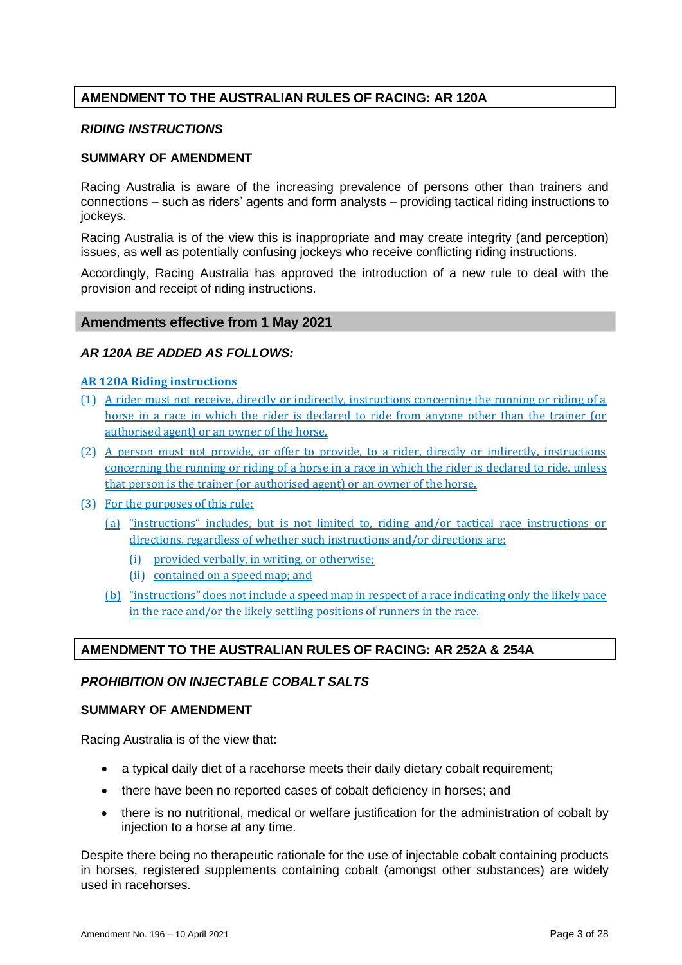## **AMENDMENT TO THE AUSTRALIAN RULES OF RACING: AR 120A**

## *RIDING INSTRUCTIONS*

### **SUMMARY OF AMENDMENT**

Racing Australia is aware of the increasing prevalence of persons other than trainers and connections – such as riders' agents and form analysts – providing tactical riding instructions to jockeys.

Racing Australia is of the view this is inappropriate and may create integrity (and perception) issues, as well as potentially confusing jockeys who receive conflicting riding instructions.

Accordingly, Racing Australia has approved the introduction of a new rule to deal with the provision and receipt of riding instructions.

## **Amendments effective from 1 May 2021**

## *AR 120A BE ADDED AS FOLLOWS:*

## **AR 120A Riding instructions**

- (1) A rider must not receive, directly or indirectly, instructions concerning the running or riding of a horse in a race in which the rider is declared to ride from anyone other than the trainer (or authorised agent) or an owner of the horse.
- (2) A person must not provide, or offer to provide, to a rider, directly or indirectly, instructions concerning the running or riding of a horse in a race in which the rider is declared to ride, unless that person is the trainer (or authorised agent) or an owner of the horse.
- (3) For the purposes of this rule:
	- (a) "instructions" includes, but is not limited to, riding and/or tactical race instructions or directions, regardless of whether such instructions and/or directions are:
		- (i) provided verbally, in writing, or otherwise;
		- (ii) contained on a speed map; and
	- (b) "instructions" does not include a speed map in respect of a race indicating only the likely pace in the race and/or the likely settling positions of runners in the race.

## **AMENDMENT TO THE AUSTRALIAN RULES OF RACING: AR 252A & 254A**

## *PROHIBITION ON INJECTABLE COBALT SALTS*

## **SUMMARY OF AMENDMENT**

Racing Australia is of the view that:

- a typical daily diet of a racehorse meets their daily dietary cobalt requirement;
- there have been no reported cases of cobalt deficiency in horses; and
- there is no nutritional, medical or welfare justification for the administration of cobalt by injection to a horse at any time.

Despite there being no therapeutic rationale for the use of injectable cobalt containing products in horses, registered supplements containing cobalt (amongst other substances) are widely used in racehorses.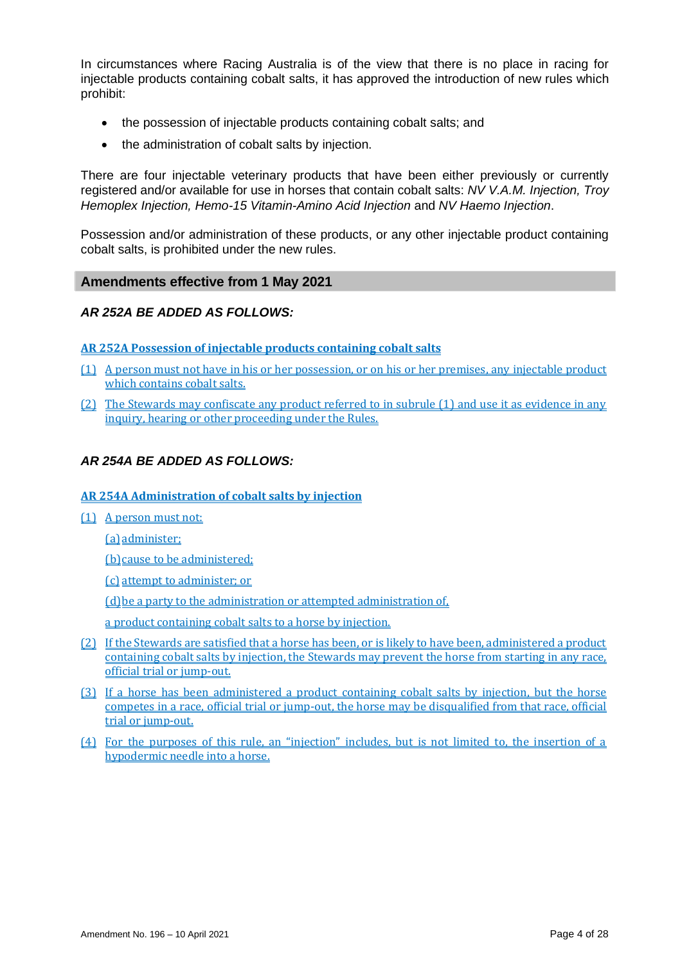In circumstances where Racing Australia is of the view that there is no place in racing for injectable products containing cobalt salts, it has approved the introduction of new rules which prohibit:

- the possession of injectable products containing cobalt salts; and
- the administration of cobalt salts by injection.

There are four injectable veterinary products that have been either previously or currently registered and/or available for use in horses that contain cobalt salts: *NV V.A.M. Injection, Troy Hemoplex Injection, Hemo-15 Vitamin-Amino Acid Injection* and *NV Haemo Injection*.

Possession and/or administration of these products, or any other injectable product containing cobalt salts, is prohibited under the new rules.

## **Amendments effective from 1 May 2021**

## *AR 252A BE ADDED AS FOLLOWS:*

### **AR 252A Possession of injectable products containing cobalt salts**

- (1) A person must not have in his or her possession, or on his or her premises, any injectable product which contains cobalt salts.
- (2) The Stewards may confiscate any product referred to in subrule (1) and use it as evidence in any inquiry, hearing or other proceeding under the Rules.

## *AR 254A BE ADDED AS FOLLOWS:*

## **AR 254A Administration of cobalt salts by injection**

(1) A person must not:

(a) administer;

(b)cause to be administered;

(c) attempt to administer; or

(d)be a party to the administration or attempted administration of,

a product containing cobalt salts to a horse by injection.

- (2) If the Stewards are satisfied that a horse has been, or is likely to have been, administered a product containing cobalt salts by injection, the Stewards may prevent the horse from starting in any race, official trial or jump-out.
- (3) If a horse has been administered a product containing cobalt salts by injection, but the horse competes in a race, official trial or jump-out, the horse may be disqualified from that race, official trial or jump-out.
- (4) For the purposes of this rule, an "injection" includes, but is not limited to, the insertion of a hypodermic needle into a horse.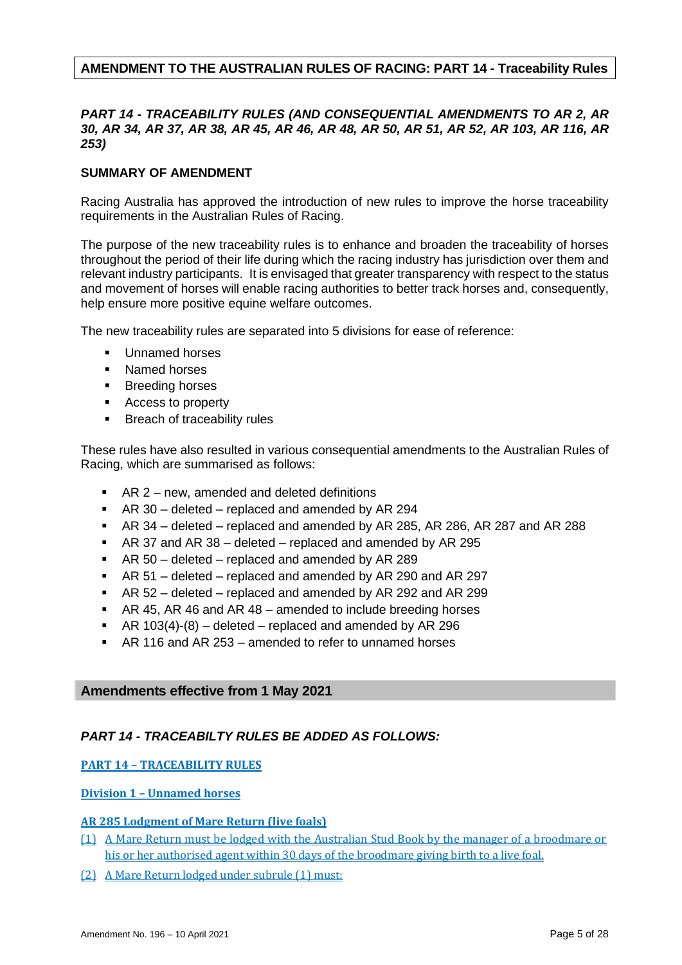## **AMENDMENT TO THE AUSTRALIAN RULES OF RACING: PART 14 - Traceability Rules**

## *PART 14 - TRACEABILITY RULES (AND CONSEQUENTIAL AMENDMENTS TO AR 2, AR 30, AR 34, AR 37, AR 38, AR 45, AR 46, AR 48, AR 50, AR 51, AR 52, AR 103, AR 116, AR 253)*

## **SUMMARY OF AMENDMENT**

Racing Australia has approved the introduction of new rules to improve the horse traceability requirements in the Australian Rules of Racing.

The purpose of the new traceability rules is to enhance and broaden the traceability of horses throughout the period of their life during which the racing industry has jurisdiction over them and relevant industry participants. It is envisaged that greater transparency with respect to the status and movement of horses will enable racing authorities to better track horses and, consequently, help ensure more positive equine welfare outcomes.

The new traceability rules are separated into 5 divisions for ease of reference:

- Unnamed horses
- Named horses
- Breeding horses
- Access to property
- Breach of traceability rules

These rules have also resulted in various consequential amendments to the Australian Rules of Racing, which are summarised as follows:

- AR 2 new, amended and deleted definitions
- AR 30 deleted replaced and amended by AR 294
- AR 34 deleted replaced and amended by AR 285, AR 286, AR 287 and AR 288
- AR 37 and AR 38 deleted replaced and amended by AR 295
- AR 50 deleted replaced and amended by AR 289
- AR 51 deleted replaced and amended by AR 290 and AR 297
- AR 52 deleted replaced and amended by AR 292 and AR 299
- AR 45, AR 46 and AR 48 amended to include breeding horses
- **•** AR 103(4)-(8) deleted replaced and amended by AR 296
- AR 116 and AR 253 amended to refer to unnamed horses

## **Amendments effective from 1 May 2021**

## *PART 14 - TRACEABILTY RULES BE ADDED AS FOLLOWS:*

## **PART 14 – TRACEABILITY RULES**

## **Division 1 – Unnamed horses**

## **AR 285 Lodgment of Mare Return (live foals)**

- (1) A Mare Return must be lodged with the Australian Stud Book by the manager of a broodmare or his or her authorised agent within 30 days of the broodmare giving birth to a live foal.
- (2) A Mare Return lodged under subrule (1) must: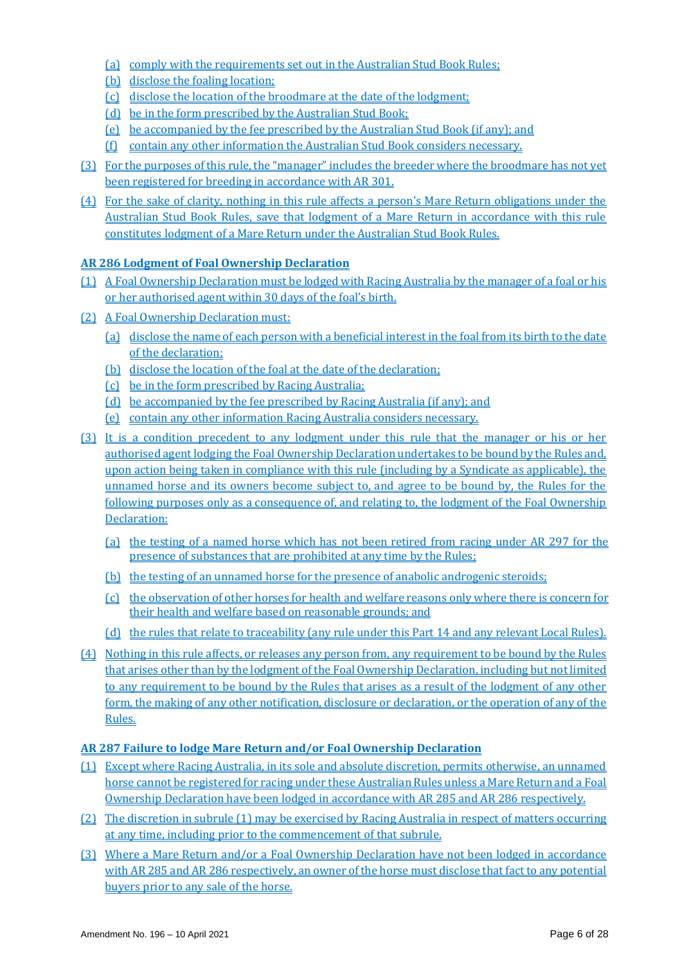- (a) comply with the requirements set out in the Australian Stud Book Rules;
- (b) disclose the foaling location;
- (c) disclose the location of the broodmare at the date of the lodgment;
- (d) be in the form prescribed by the Australian Stud Book;
- (e) be accompanied by the fee prescribed by the Australian Stud Book (if any); and
- (f) contain any other information the Australian Stud Book considers necessary.
- (3) For the purposes of this rule, the "manager" includes the breeder where the broodmare has not yet been registered for breeding in accordance with AR 301.
- (4) For the sake of clarity, nothing in this rule affects a person's Mare Return obligations under the Australian Stud Book Rules, save that lodgment of a Mare Return in accordance with this rule constitutes lodgment of a Mare Return under the Australian Stud Book Rules.

## **AR 286 Lodgment of Foal Ownership Declaration**

- (1) A Foal Ownership Declaration must be lodged with Racing Australia by the manager of a foal or his or her authorised agent within 30 days of the foal's birth.
- (2) A Foal Ownership Declaration must:
	- (a) disclose the name of each person with a beneficial interest in the foal from its birth to the date of the declaration;
	- (b) disclose the location of the foal at the date of the declaration;
	- (c) be in the form prescribed by Racing Australia;
	- (d) be accompanied by the fee prescribed by Racing Australia (if any); and
	- (e) contain any other information Racing Australia considers necessary.
- (3) It is a condition precedent to any lodgment under this rule that the manager or his or her authorised agent lodging the Foal Ownership Declaration undertakes to be bound by the Rules and, upon action being taken in compliance with this rule (including by a Syndicate as applicable), the unnamed horse and its owners become subject to, and agree to be bound by, the Rules for the following purposes only as a consequence of, and relating to, the lodgment of the Foal Ownership Declaration:
	- (a) the testing of a named horse which has not been retired from racing under AR 297 for the presence of substances that are prohibited at any time by the Rules;
	- (b) the testing of an unnamed horse for the presence of anabolic androgenic steroids;
	- (c) the observation of other horses for health and welfare reasons only where there is concern for their health and welfare based on reasonable grounds; and
	- (d) the rules that relate to traceability (any rule under this Part 14 and any relevant Local Rules).
- (4) Nothing in this rule affects, or releases any person from, any requirement to be bound by the Rules that arises other than by the lodgment of the Foal Ownership Declaration, including but not limited to any requirement to be bound by the Rules that arises as a result of the lodgment of any other form, the making of any other notification, disclosure or declaration, or the operation of any of the Rules.

## **AR 287 Failure to lodge Mare Return and/or Foal Ownership Declaration**

- (1) Except where Racing Australia, in its sole and absolute discretion, permits otherwise, an unnamed horse cannot be registered for racing under these Australian Rules unless a Mare Return and a Foal Ownership Declaration have been lodged in accordance with AR 285 and AR 286 respectively.
- (2) The discretion in subrule (1) may be exercised by Racing Australia in respect of matters occurring at any time, including prior to the commencement of that subrule.
- (3) Where a Mare Return and/or a Foal Ownership Declaration have not been lodged in accordance with AR 285 and AR 286 respectively, an owner of the horse must disclose that fact to any potential buyers prior to any sale of the horse.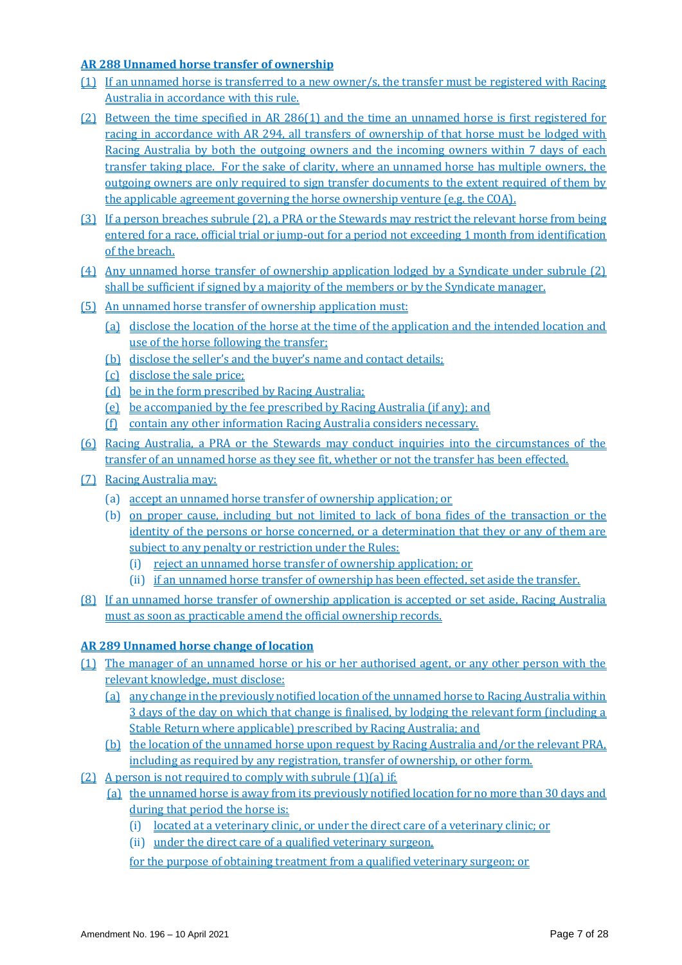## **AR 288 Unnamed horse transfer of ownership**

- (1) If an unnamed horse is transferred to a new owner/s, the transfer must be registered with Racing Australia in accordance with this rule.
- (2) Between the time specified in AR 286(1) and the time an unnamed horse is first registered for racing in accordance with AR 294, all transfers of ownership of that horse must be lodged with Racing Australia by both the outgoing owners and the incoming owners within 7 days of each transfer taking place. For the sake of clarity, where an unnamed horse has multiple owners, the outgoing owners are only required to sign transfer documents to the extent required of them by the applicable agreement governing the horse ownership venture (e.g. the COA).
- (3) If a person breaches subrule (2), a PRA or the Stewards may restrict the relevant horse from being entered for a race, official trial or jump-out for a period not exceeding 1 month from identification of the breach.
- (4) Any unnamed horse transfer of ownership application lodged by a Syndicate under subrule (2) shall be sufficient if signed by a majority of the members or by the Syndicate manager.
- (5) An unnamed horse transfer of ownership application must:
	- (a) disclose the location of the horse at the time of the application and the intended location and use of the horse following the transfer;
	- (b) disclose the seller's and the buyer's name and contact details;
	- (c) disclose the sale price;
	- (d) be in the form prescribed by Racing Australia;
	- (e) be accompanied by the fee prescribed by Racing Australia (if any); and
	- (f) contain any other information Racing Australia considers necessary.
- (6) Racing Australia, a PRA or the Stewards may conduct inquiries into the circumstances of the transfer of an unnamed horse as they see fit, whether or not the transfer has been effected.
- (7) Racing Australia may:
	- (a) accept an unnamed horse transfer of ownership application; or
	- (b) on proper cause, including but not limited to lack of bona fides of the transaction or the identity of the persons or horse concerned, or a determination that they or any of them are subject to any penalty or restriction under the Rules:
		- (i) reject an unnamed horse transfer of ownership application; or
		- (ii) if an unnamed horse transfer of ownership has been effected, set aside the transfer.
- (8) If an unnamed horse transfer of ownership application is accepted or set aside, Racing Australia must as soon as practicable amend the official ownership records.

## **AR 289 Unnamed horse change of location**

- (1) The manager of an unnamed horse or his or her authorised agent, or any other person with the relevant knowledge, must disclose:
	- (a) any change in the previously notified location of the unnamed horse to Racing Australia within 3 days of the day on which that change is finalised, by lodging the relevant form (including a Stable Return where applicable) prescribed by Racing Australia; and
	- (b) the location of the unnamed horse upon request by Racing Australia and/or the relevant PRA, including as required by any registration, transfer of ownership, or other form.
- (2) A person is not required to comply with subrule (1)(a) if:
	- (a) the unnamed horse is away from its previously notified location for no more than 30 days and during that period the horse is:
		- (i) located at a veterinary clinic, or under the direct care of a veterinary clinic; or
		- (ii) under the direct care of a qualified veterinary surgeon,
		- for the purpose of obtaining treatment from a qualified veterinary surgeon; or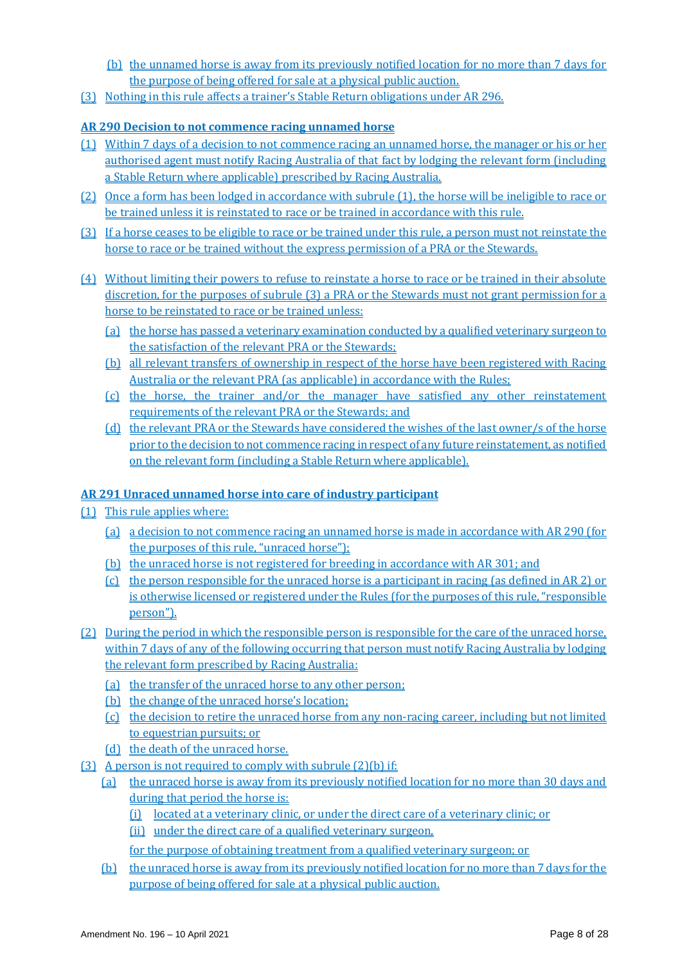- (b) the unnamed horse is away from its previously notified location for no more than 7 days for the purpose of being offered for sale at a physical public auction.
- (3) Nothing in this rule affects a trainer's Stable Return obligations under AR 296.

## **AR 290 Decision to not commence racing unnamed horse**

- (1) Within 7 days of a decision to not commence racing an unnamed horse, the manager or his or her authorised agent must notify Racing Australia of that fact by lodging the relevant form (including a Stable Return where applicable) prescribed by Racing Australia.
- (2) Once a form has been lodged in accordance with subrule (1), the horse will be ineligible to race or be trained unless it is reinstated to race or be trained in accordance with this rule.
- (3) If a horse ceases to be eligible to race or be trained under this rule, a person must not reinstate the horse to race or be trained without the express permission of a PRA or the Stewards.
- (4) Without limiting their powers to refuse to reinstate a horse to race or be trained in their absolute discretion, for the purposes of subrule (3) a PRA or the Stewards must not grant permission for a horse to be reinstated to race or be trained unless:
	- (a) the horse has passed a veterinary examination conducted by a qualified veterinary surgeon to the satisfaction of the relevant PRA or the Stewards;
	- (b) all relevant transfers of ownership in respect of the horse have been registered with Racing Australia or the relevant PRA (as applicable) in accordance with the Rules;
	- (c) the horse, the trainer and/or the manager have satisfied any other reinstatement requirements of the relevant PRA or the Stewards; and
	- (d) the relevant PRA or the Stewards have considered the wishes of the last owner/s of the horse prior to the decision to not commence racing in respect of any future reinstatement, as notified on the relevant form (including a Stable Return where applicable).

## **AR 291 Unraced unnamed horse into care of industry participant**

- (1) This rule applies where:
	- (a) a decision to not commence racing an unnamed horse is made in accordance with AR 290 (for the purposes of this rule, "unraced horse");
	- (b) the unraced horse is not registered for breeding in accordance with AR 301; and
	- (c) the person responsible for the unraced horse is a participant in racing (as defined in AR 2) or is otherwise licensed or registered under the Rules (for the purposes of this rule, "responsible person").
- (2) During the period in which the responsible person is responsible for the care of the unraced horse, within 7 days of any of the following occurring that person must notify Racing Australia by lodging the relevant form prescribed by Racing Australia:
	- (a) the transfer of the unraced horse to any other person;
	- (b) the change of the unraced horse's location;
	- (c) the decision to retire the unraced horse from any non-racing career, including but not limited to equestrian pursuits; or
	- (d) the death of the unraced horse.
- (3) A person is not required to comply with subrule (2)(b) if:
	- (a) the unraced horse is away from its previously notified location for no more than 30 days and during that period the horse is:
		- (i) located at a veterinary clinic, or under the direct care of a veterinary clinic; or
		- (ii) under the direct care of a qualified veterinary surgeon,
		- for the purpose of obtaining treatment from a qualified veterinary surgeon; or
	- (b) the unraced horse is away from its previously notified location for no more than 7 days for the purpose of being offered for sale at a physical public auction.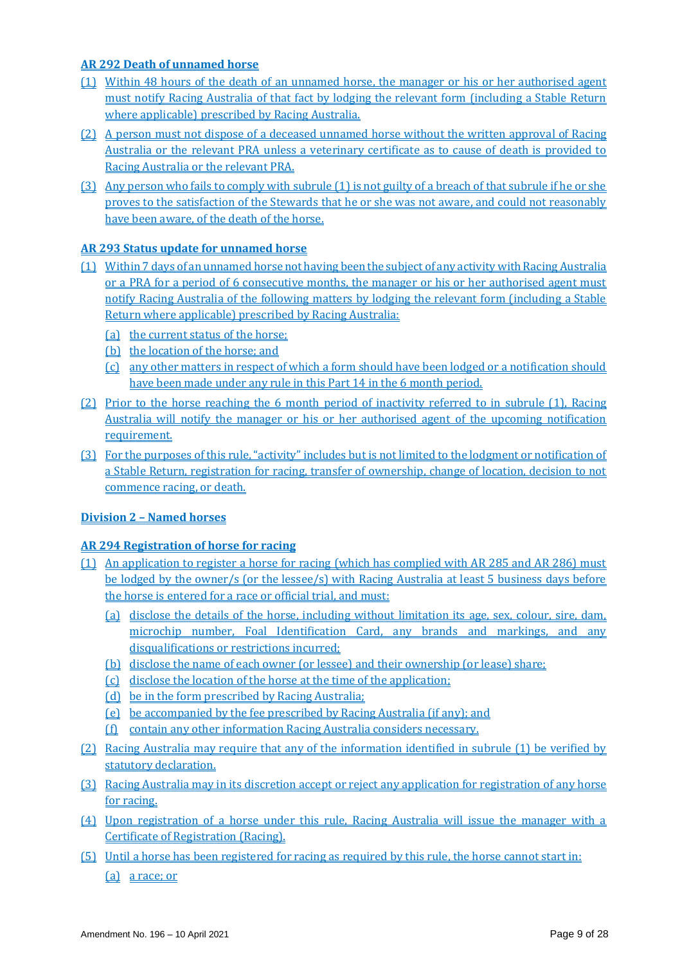## **AR 292 Death of unnamed horse**

- (1) Within 48 hours of the death of an unnamed horse, the manager or his or her authorised agent must notify Racing Australia of that fact by lodging the relevant form (including a Stable Return where applicable) prescribed by Racing Australia.
- (2) A person must not dispose of a deceased unnamed horse without the written approval of Racing Australia or the relevant PRA unless a veterinary certificate as to cause of death is provided to Racing Australia or the relevant PRA.
- (3) Any person who fails to comply with subrule (1) is not guilty of a breach of that subrule if he or she proves to the satisfaction of the Stewards that he or she was not aware, and could not reasonably have been aware, of the death of the horse.

## **AR 293 Status update for unnamed horse**

- (1) Within 7 days of an unnamed horse not having been the subject of any activity with Racing Australia or a PRA for a period of 6 consecutive months, the manager or his or her authorised agent must notify Racing Australia of the following matters by lodging the relevant form (including a Stable Return where applicable) prescribed by Racing Australia:
	- (a) the current status of the horse;
	- (b) the location of the horse; and
	- (c) any other matters in respect of which a form should have been lodged or a notification should have been made under any rule in this Part 14 in the 6 month period.
- (2) Prior to the horse reaching the 6 month period of inactivity referred to in subrule (1), Racing Australia will notify the manager or his or her authorised agent of the upcoming notification requirement.
- (3) For the purposes of this rule, "activity" includes but is not limited to the lodgment or notification of a Stable Return, registration for racing, transfer of ownership, change of location, decision to not commence racing, or death.

## **Division 2 – Named horses**

## **AR 294 Registration of horse for racing**

- (1) An application to register a horse for racing (which has complied with AR 285 and AR 286) must be lodged by the owner/s (or the lessee/s) with Racing Australia at least 5 business days before the horse is entered for a race or official trial, and must:
	- (a) disclose the details of the horse, including without limitation its age, sex, colour, sire, dam, microchip number, Foal Identification Card, any brands and markings, and any disqualifications or restrictions incurred;
	- (b) disclose the name of each owner (or lessee) and their ownership (or lease) share;
	- (c) disclose the location of the horse at the time of the application;
	- (d) be in the form prescribed by Racing Australia;
	- (e) be accompanied by the fee prescribed by Racing Australia (if any); and
	- (f) contain any other information Racing Australia considers necessary.
- (2) Racing Australia may require that any of the information identified in subrule (1) be verified by statutory declaration.
- (3) Racing Australia may in its discretion accept or reject any application for registration of any horse for racing.
- (4) Upon registration of a horse under this rule, Racing Australia will issue the manager with a Certificate of Registration (Racing).
- (5) Until a horse has been registered for racing as required by this rule, the horse cannot start in:
	- (a) a race; or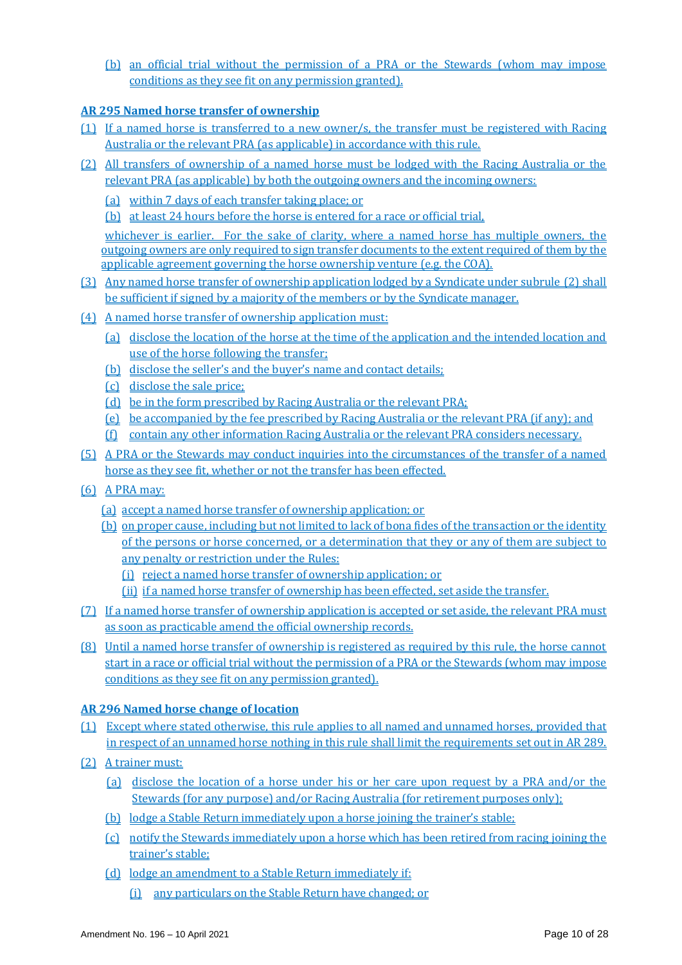(b) an official trial without the permission of a PRA or the Stewards (whom may impose conditions as they see fit on any permission granted).

## **AR 295 Named horse transfer of ownership**

- (1) If a named horse is transferred to a new owner/s, the transfer must be registered with Racing Australia or the relevant PRA (as applicable) in accordance with this rule.
- (2) All transfers of ownership of a named horse must be lodged with the Racing Australia or the relevant PRA (as applicable) by both the outgoing owners and the incoming owners:
	- (a) within 7 days of each transfer taking place; or
	- (b) at least 24 hours before the horse is entered for a race or official trial,

whichever is earlier. For the sake of clarity, where a named horse has multiple owners, the outgoing owners are only required to sign transfer documents to the extent required of them by the applicable agreement governing the horse ownership venture (e.g. the COA).

- (3) Any named horse transfer of ownership application lodged by a Syndicate under subrule (2) shall be sufficient if signed by a majority of the members or by the Syndicate manager.
- (4) A named horse transfer of ownership application must:
	- (a) disclose the location of the horse at the time of the application and the intended location and use of the horse following the transfer;
	- (b) disclose the seller's and the buyer's name and contact details;
	- (c) disclose the sale price;
	- (d) be in the form prescribed by Racing Australia or the relevant PRA;
	- (e) be accompanied by the fee prescribed by Racing Australia or the relevant PRA (if any); and
	- (f) contain any other information Racing Australia or the relevant PRA considers necessary.
- (5) A PRA or the Stewards may conduct inquiries into the circumstances of the transfer of a named horse as they see fit, whether or not the transfer has been effected.
- (6) A PRA may:
	- (a) accept a named horse transfer of ownership application; or
	- (b) on proper cause, including but not limited to lack of bona fides of the transaction or the identity of the persons or horse concerned, or a determination that they or any of them are subject to any penalty or restriction under the Rules:
		- (i) reject a named horse transfer of ownership application; or
		- (ii) if a named horse transfer of ownership has been effected, set aside the transfer.
- (7) If a named horse transfer of ownership application is accepted or set aside, the relevant PRA must as soon as practicable amend the official ownership records.
- (8) Until a named horse transfer of ownership is registered as required by this rule, the horse cannot start in a race or official trial without the permission of a PRA or the Stewards (whom may impose conditions as they see fit on any permission granted).

## **AR 296 Named horse change of location**

- (1) Except where stated otherwise, this rule applies to all named and unnamed horses, provided that in respect of an unnamed horse nothing in this rule shall limit the requirements set out in AR 289.
- (2) A trainer must:
	- (a) disclose the location of a horse under his or her care upon request by a PRA and/or the Stewards (for any purpose) and/or Racing Australia (for retirement purposes only);
	- (b) lodge a Stable Return immediately upon a horse joining the trainer's stable;
	- (c) notify the Stewards immediately upon a horse which has been retired from racing joining the trainer's stable;
	- (d) lodge an amendment to a Stable Return immediately if:
		- (i) any particulars on the Stable Return have changed; or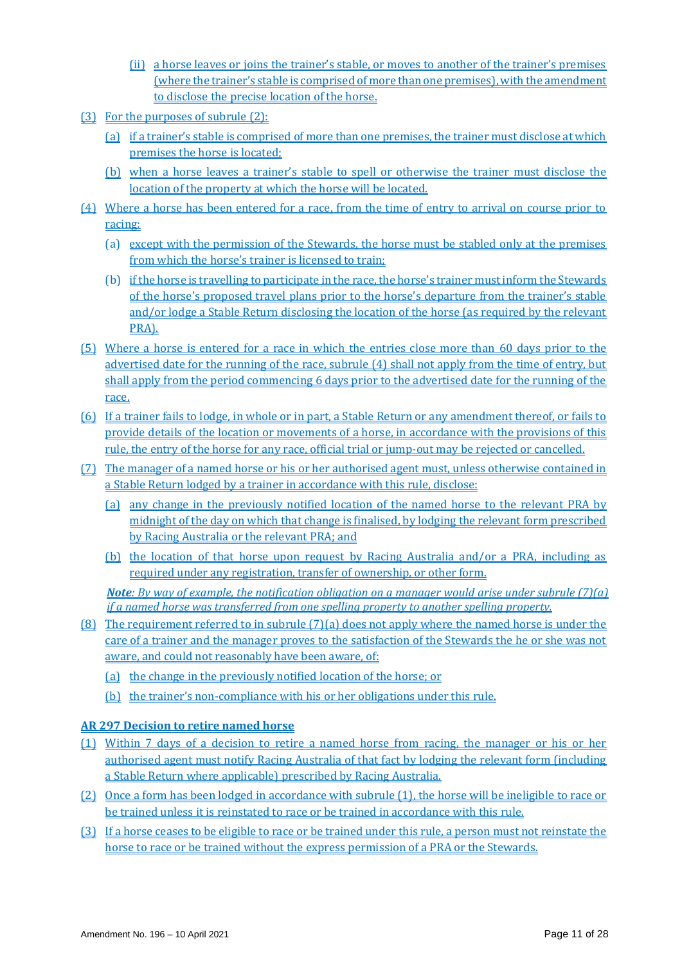- (ii) a horse leaves or joins the trainer's stable, or moves to another of the trainer's premises (where the trainer's stable is comprised of more than one premises), with the amendment to disclose the precise location of the horse.
- (3) For the purposes of subrule (2):
	- (a) if a trainer's stable is comprised of more than one premises, the trainer must disclose at which premises the horse is located;
	- (b) when a horse leaves a trainer's stable to spell or otherwise the trainer must disclose the location of the property at which the horse will be located.
- (4) Where a horse has been entered for a race, from the time of entry to arrival on course prior to racing:
	- (a) except with the permission of the Stewards, the horse must be stabled only at the premises from which the horse's trainer is licensed to train;
	- (b) if the horse is travelling to participate in the race, the horse's trainer must inform the Stewards of the horse's proposed travel plans prior to the horse's departure from the trainer's stable and/or lodge a Stable Return disclosing the location of the horse (as required by the relevant PRA).
- (5) Where a horse is entered for a race in which the entries close more than 60 days prior to the advertised date for the running of the race, subrule (4) shall not apply from the time of entry, but shall apply from the period commencing 6 days prior to the advertised date for the running of the race.
- (6) If a trainer fails to lodge, in whole or in part, a Stable Return or any amendment thereof, or fails to provide details of the location or movements of a horse, in accordance with the provisions of this rule, the entry of the horse for any race, official trial or jump-out may be rejected or cancelled.
- (7) The manager of a named horse or his or her authorised agent must, unless otherwise contained in a Stable Return lodged by a trainer in accordance with this rule, disclose:
	- (a) any change in the previously notified location of the named horse to the relevant PRA by midnight of the day on which that change is finalised, by lodging the relevant form prescribed by Racing Australia or the relevant PRA; and
	- (b) the location of that horse upon request by Racing Australia and/or a PRA, including as required under any registration, transfer of ownership, or other form.

*Note: By way of example, the notification obligation on a manager would arise under subrule (7)(a) if a named horse was transferred from one spelling property to another spelling property.* 

- (8) The requirement referred to in subrule (7)(a) does not apply where the named horse is under the care of a trainer and the manager proves to the satisfaction of the Stewards the he or she was not aware, and could not reasonably have been aware, of:
	- (a) the change in the previously notified location of the horse; or
	- (b) the trainer's non-compliance with his or her obligations under this rule.

## **AR 297 Decision to retire named horse**

- (1) Within 7 days of a decision to retire a named horse from racing, the manager or his or her authorised agent must notify Racing Australia of that fact by lodging the relevant form (including a Stable Return where applicable) prescribed by Racing Australia.
- (2) Once a form has been lodged in accordance with subrule (1), the horse will be ineligible to race or be trained unless it is reinstated to race or be trained in accordance with this rule.
- (3) If a horse ceases to be eligible to race or be trained under this rule, a person must not reinstate the horse to race or be trained without the express permission of a PRA or the Stewards.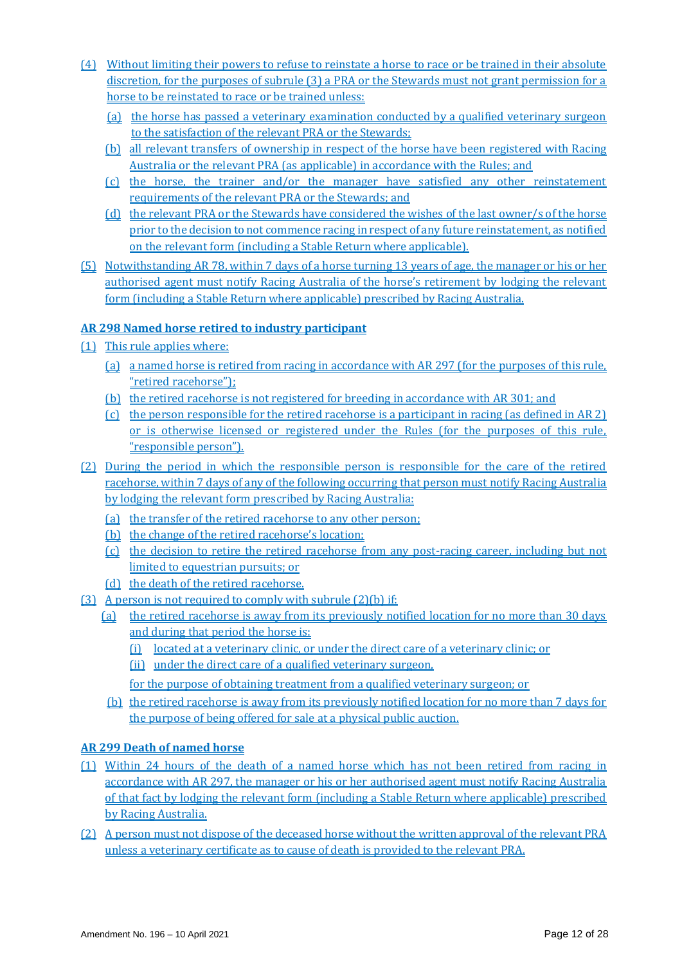- (4) Without limiting their powers to refuse to reinstate a horse to race or be trained in their absolute discretion, for the purposes of subrule (3) a PRA or the Stewards must not grant permission for a horse to be reinstated to race or be trained unless:
	- (a) the horse has passed a veterinary examination conducted by a qualified veterinary surgeon to the satisfaction of the relevant PRA or the Stewards;
	- (b) all relevant transfers of ownership in respect of the horse have been registered with Racing Australia or the relevant PRA (as applicable) in accordance with the Rules; and
	- (c) the horse, the trainer and/or the manager have satisfied any other reinstatement requirements of the relevant PRA or the Stewards; and
	- (d) the relevant PRA or the Stewards have considered the wishes of the last owner/s of the horse prior to the decision to not commence racing in respect of any future reinstatement, as notified on the relevant form (including a Stable Return where applicable).
- (5) Notwithstanding AR 78, within 7 days of a horse turning 13 years of age, the manager or his or her authorised agent must notify Racing Australia of the horse's retirement by lodging the relevant form (including a Stable Return where applicable) prescribed by Racing Australia.

## **AR 298 Named horse retired to industry participant**

- (1) This rule applies where:
	- (a) a named horse is retired from racing in accordance with AR 297 (for the purposes of this rule, "retired racehorse");
	- (b) the retired racehorse is not registered for breeding in accordance with AR 301; and
	- (c) the person responsible for the retired racehorse is a participant in racing (as defined in AR 2) or is otherwise licensed or registered under the Rules (for the purposes of this rule, "responsible person").
- (2) During the period in which the responsible person is responsible for the care of the retired racehorse, within 7 days of any of the following occurring that person must notify Racing Australia by lodging the relevant form prescribed by Racing Australia:
	- (a) the transfer of the retired racehorse to any other person;
	- (b) the change of the retired racehorse's location;
	- (c) the decision to retire the retired racehorse from any post-racing career, including but not limited to equestrian pursuits; or
	- (d) the death of the retired racehorse.
- (3) A person is not required to comply with subrule (2)(b) if:
	- (a) the retired racehorse is away from its previously notified location for no more than 30 days and during that period the horse is:
		- (i) located at a veterinary clinic, or under the direct care of a veterinary clinic; or
		- (ii) under the direct care of a qualified veterinary surgeon,
		- for the purpose of obtaining treatment from a qualified veterinary surgeon; or
	- (b) the retired racehorse is away from its previously notified location for no more than 7 days for the purpose of being offered for sale at a physical public auction.

## **AR 299 Death of named horse**

- (1) Within 24 hours of the death of a named horse which has not been retired from racing in accordance with AR 297, the manager or his or her authorised agent must notify Racing Australia of that fact by lodging the relevant form (including a Stable Return where applicable) prescribed by Racing Australia.
- (2) A person must not dispose of the deceased horse without the written approval of the relevant PRA unless a veterinary certificate as to cause of death is provided to the relevant PRA.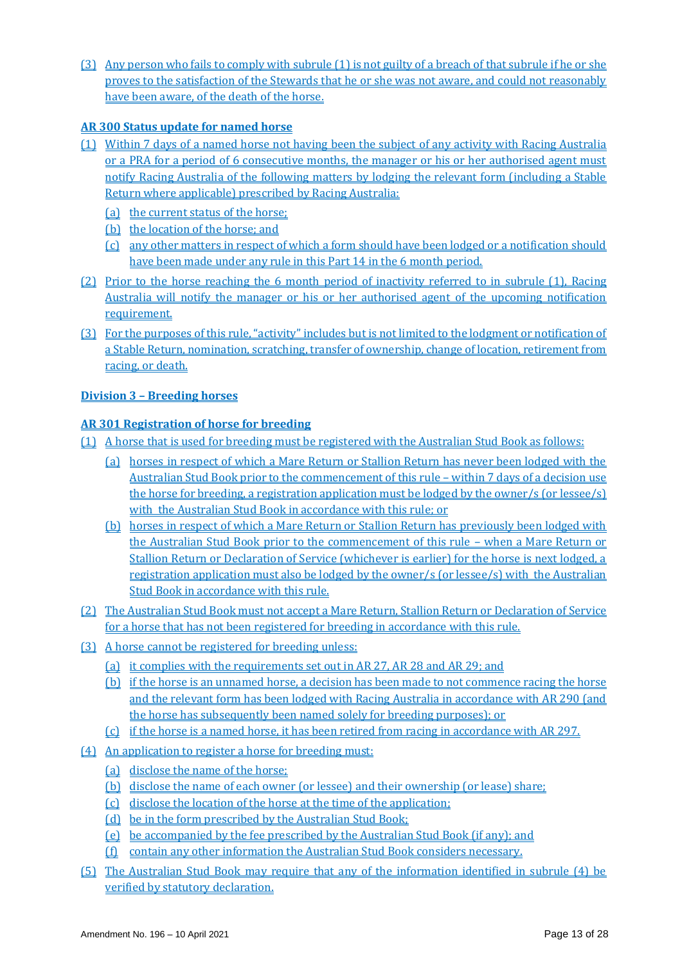(3) Any person who fails to comply with subrule (1) is not guilty of a breach of that subrule if he or she proves to the satisfaction of the Stewards that he or she was not aware, and could not reasonably have been aware, of the death of the horse.

## **AR 300 Status update for named horse**

- (1) Within 7 days of a named horse not having been the subject of any activity with Racing Australia or a PRA for a period of 6 consecutive months, the manager or his or her authorised agent must notify Racing Australia of the following matters by lodging the relevant form (including a Stable Return where applicable) prescribed by Racing Australia:
	- (a) the current status of the horse;
	- (b) the location of the horse; and
	- (c) any other matters in respect of which a form should have been lodged or a notification should have been made under any rule in this Part 14 in the 6 month period.
- (2) Prior to the horse reaching the 6 month period of inactivity referred to in subrule (1), Racing Australia will notify the manager or his or her authorised agent of the upcoming notification requirement.
- (3) For the purposes of this rule, "activity" includes but is not limited to the lodgment or notification of a Stable Return, nomination, scratching, transfer of ownership, change of location, retirement from racing, or death.

## **Division 3 – Breeding horses**

## **AR 301 Registration of horse for breeding**

- (1) A horse that is used for breeding must be registered with the Australian Stud Book as follows:
	- (a) horses in respect of which a Mare Return or Stallion Return has never been lodged with the Australian Stud Book prior to the commencement of this rule – within 7 days of a decision use the horse for breeding, a registration application must be lodged by the owner/s (or lessee/s) with the Australian Stud Book in accordance with this rule; or
	- (b) horses in respect of which a Mare Return or Stallion Return has previously been lodged with the Australian Stud Book prior to the commencement of this rule – when a Mare Return or Stallion Return or Declaration of Service (whichever is earlier) for the horse is next lodged, a registration application must also be lodged by the owner/s (or lessee/s) with the Australian Stud Book in accordance with this rule.
- (2) The Australian Stud Book must not accept a Mare Return, Stallion Return or Declaration of Service for a horse that has not been registered for breeding in accordance with this rule.
- (3) A horse cannot be registered for breeding unless:
	- (a) it complies with the requirements set out in AR 27, AR 28 and AR 29; and
	- (b) if the horse is an unnamed horse, a decision has been made to not commence racing the horse and the relevant form has been lodged with Racing Australia in accordance with AR 290 (and the horse has subsequently been named solely for breeding purposes); or
	- (c) if the horse is a named horse, it has been retired from racing in accordance with AR 297.
- (4) An application to register a horse for breeding must:
	- (a) disclose the name of the horse;
	- (b) disclose the name of each owner (or lessee) and their ownership (or lease) share;
	- (c) disclose the location of the horse at the time of the application;
	- (d) be in the form prescribed by the Australian Stud Book;
	- (e) be accompanied by the fee prescribed by the Australian Stud Book (if any); and
	- (f) contain any other information the Australian Stud Book considers necessary.
- (5) The Australian Stud Book may require that any of the information identified in subrule (4) be verified by statutory declaration.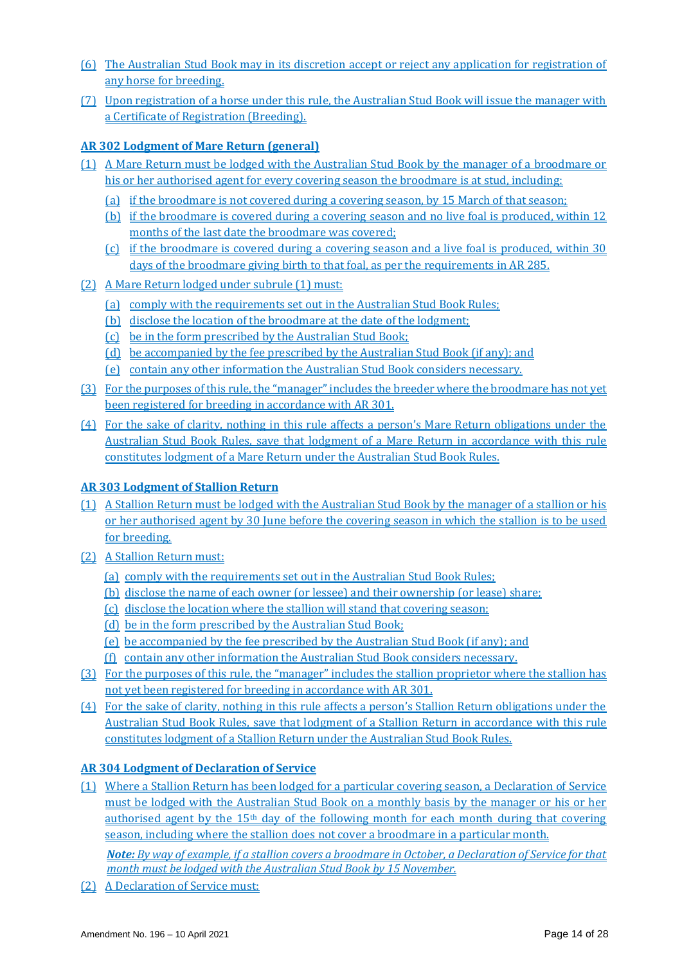- (6) The Australian Stud Book may in its discretion accept or reject any application for registration of any horse for breeding.
- (7) Upon registration of a horse under this rule, the Australian Stud Book will issue the manager with a Certificate of Registration (Breeding).

## **AR 302 Lodgment of Mare Return (general)**

- (1) A Mare Return must be lodged with the Australian Stud Book by the manager of a broodmare or his or her authorised agent for every covering season the broodmare is at stud, including:
	- (a) if the broodmare is not covered during a covering season, by 15 March of that season;
	- (b) if the broodmare is covered during a covering season and no live foal is produced, within 12 months of the last date the broodmare was covered;
	- (c) if the broodmare is covered during a covering season and a live foal is produced, within 30 days of the broodmare giving birth to that foal, as per the requirements in AR 285.
- (2) A Mare Return lodged under subrule (1) must:
	- (a) comply with the requirements set out in the Australian Stud Book Rules;
	- (b) disclose the location of the broodmare at the date of the lodgment;
	- (c) be in the form prescribed by the Australian Stud Book;
	- (d) be accompanied by the fee prescribed by the Australian Stud Book (if any); and
	- (e) contain any other information the Australian Stud Book considers necessary.
- (3) For the purposes of this rule, the "manager" includes the breeder where the broodmare has not yet been registered for breeding in accordance with AR 301.
- (4) For the sake of clarity, nothing in this rule affects a person's Mare Return obligations under the Australian Stud Book Rules, save that lodgment of a Mare Return in accordance with this rule constitutes lodgment of a Mare Return under the Australian Stud Book Rules.

## **AR 303 Lodgment of Stallion Return**

- (1) A Stallion Return must be lodged with the Australian Stud Book by the manager of a stallion or his or her authorised agent by 30 June before the covering season in which the stallion is to be used for breeding.
- (2) A Stallion Return must:
	- (a) comply with the requirements set out in the Australian Stud Book Rules;
	- (b) disclose the name of each owner (or lessee) and their ownership (or lease) share;
	- (c) disclose the location where the stallion will stand that covering season;
	- (d) be in the form prescribed by the Australian Stud Book;
	- (e) be accompanied by the fee prescribed by the Australian Stud Book (if any); and
	- (f) contain any other information the Australian Stud Book considers necessary.
- (3) For the purposes of this rule, the "manager" includes the stallion proprietor where the stallion has not yet been registered for breeding in accordance with AR 301.
- (4) For the sake of clarity, nothing in this rule affects a person's Stallion Return obligations under the Australian Stud Book Rules, save that lodgment of a Stallion Return in accordance with this rule constitutes lodgment of a Stallion Return under the Australian Stud Book Rules.

## **AR 304 Lodgment of Declaration of Service**

(1) Where a Stallion Return has been lodged for a particular covering season, a Declaration of Service must be lodged with the Australian Stud Book on a monthly basis by the manager or his or her authorised agent by the  $15<sup>th</sup>$  day of the following month for each month during that covering season, including where the stallion does not cover a broodmare in a particular month.

*Note: By way of example, if a stallion covers a broodmare in October, a Declaration of Service for that month must be lodged with the Australian Stud Book by 15 November.*

(2) A Declaration of Service must: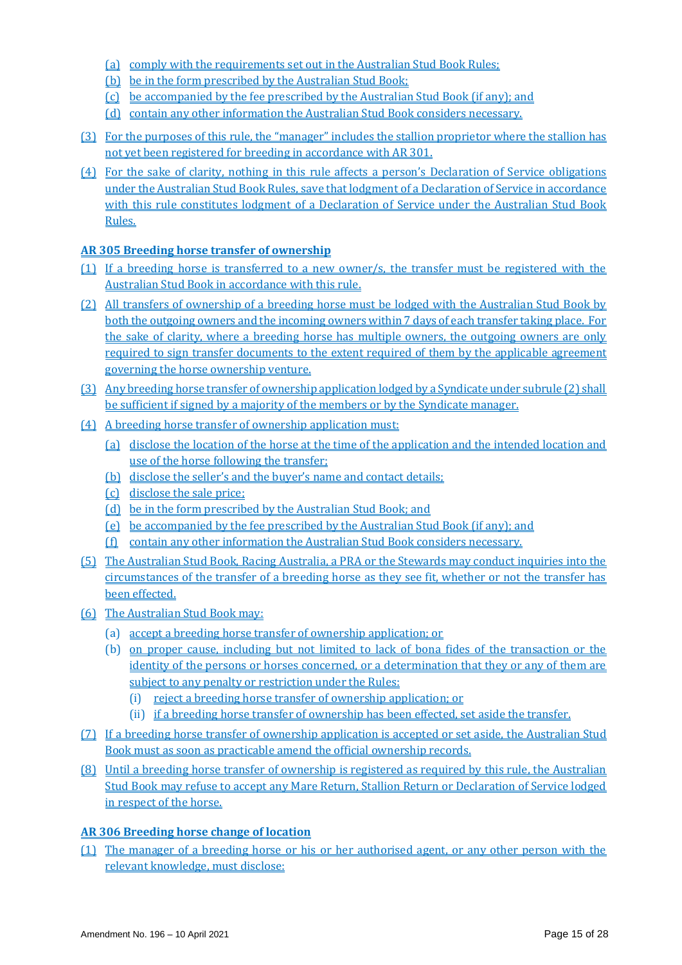- (a) comply with the requirements set out in the Australian Stud Book Rules;
- (b) be in the form prescribed by the Australian Stud Book;
- (c) be accompanied by the fee prescribed by the Australian Stud Book (if any); and
- (d) contain any other information the Australian Stud Book considers necessary.
- (3) For the purposes of this rule, the "manager" includes the stallion proprietor where the stallion has not yet been registered for breeding in accordance with AR 301.
- (4) For the sake of clarity, nothing in this rule affects a person's Declaration of Service obligations under the Australian Stud Book Rules, save that lodgment of a Declaration of Service in accordance with this rule constitutes lodgment of a Declaration of Service under the Australian Stud Book Rules.

## **AR 305 Breeding horse transfer of ownership**

- (1) If a breeding horse is transferred to a new owner/s, the transfer must be registered with the Australian Stud Book in accordance with this rule.
- (2) All transfers of ownership of a breeding horse must be lodged with the Australian Stud Book by both the outgoing owners and the incoming owners within 7 days of each transfer taking place. For the sake of clarity, where a breeding horse has multiple owners, the outgoing owners are only required to sign transfer documents to the extent required of them by the applicable agreement governing the horse ownership venture.
- (3) Any breeding horse transfer of ownership application lodged by a Syndicate under subrule (2) shall be sufficient if signed by a majority of the members or by the Syndicate manager.
- (4) A breeding horse transfer of ownership application must:
	- (a) disclose the location of the horse at the time of the application and the intended location and use of the horse following the transfer;
	- (b) disclose the seller's and the buyer's name and contact details;
	- (c) disclose the sale price;
	- (d) be in the form prescribed by the Australian Stud Book; and
	- (e) be accompanied by the fee prescribed by the Australian Stud Book (if any); and
	- (f) contain any other information the Australian Stud Book considers necessary.
- (5) The Australian Stud Book, Racing Australia, a PRA or the Stewards may conduct inquiries into the circumstances of the transfer of a breeding horse as they see fit, whether or not the transfer has been effected.
- (6) The Australian Stud Book may:
	- (a) accept a breeding horse transfer of ownership application; or
	- (b) on proper cause, including but not limited to lack of bona fides of the transaction or the identity of the persons or horses concerned, or a determination that they or any of them are subject to any penalty or restriction under the Rules:
		- (i) reject a breeding horse transfer of ownership application; or
		- (ii) if a breeding horse transfer of ownership has been effected, set aside the transfer.
- (7) If a breeding horse transfer of ownership application is accepted or set aside, the Australian Stud Book must as soon as practicable amend the official ownership records.
- (8) Until a breeding horse transfer of ownership is registered as required by this rule, the Australian Stud Book may refuse to accept any Mare Return, Stallion Return or Declaration of Service lodged in respect of the horse.

## **AR 306 Breeding horse change of location**

(1) The manager of a breeding horse or his or her authorised agent, or any other person with the relevant knowledge, must disclose: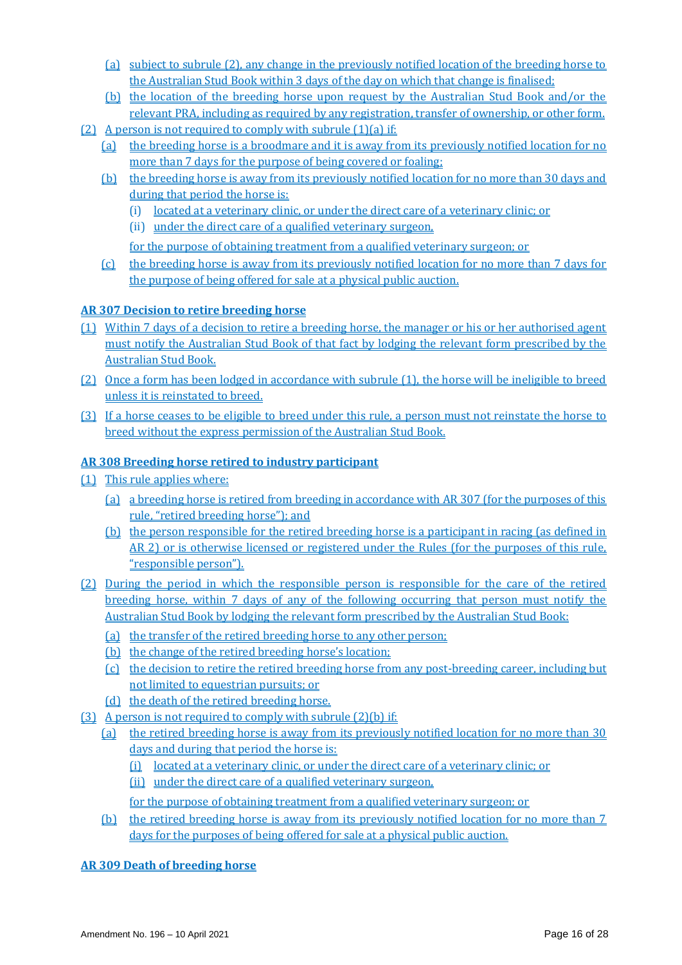- (a) subject to subrule (2), any change in the previously notified location of the breeding horse to the Australian Stud Book within 3 days of the day on which that change is finalised;
- (b) the location of the breeding horse upon request by the Australian Stud Book and/or the relevant PRA, including as required by any registration, transfer of ownership, or other form.
- (2) A person is not required to comply with subrule  $(1)(a)$  if:
	- (a) the breeding horse is a broodmare and it is away from its previously notified location for no more than 7 days for the purpose of being covered or foaling;
	- (b) the breeding horse is away from its previously notified location for no more than 30 days and during that period the horse is:
		- (i) located at a veterinary clinic, or under the direct care of a veterinary clinic; or
		- (ii) under the direct care of a qualified veterinary surgeon,

for the purpose of obtaining treatment from a qualified veterinary surgeon; or

(c) the breeding horse is away from its previously notified location for no more than 7 days for the purpose of being offered for sale at a physical public auction.

## **AR 307 Decision to retire breeding horse**

- (1) Within 7 days of a decision to retire a breeding horse, the manager or his or her authorised agent must notify the Australian Stud Book of that fact by lodging the relevant form prescribed by the Australian Stud Book.
- (2) Once a form has been lodged in accordance with subrule (1), the horse will be ineligible to breed unless it is reinstated to breed.
- (3) If a horse ceases to be eligible to breed under this rule, a person must not reinstate the horse to breed without the express permission of the Australian Stud Book.

## **AR 308 Breeding horse retired to industry participant**

- (1) This rule applies where:
	- (a) a breeding horse is retired from breeding in accordance with AR 307 (for the purposes of this rule, "retired breeding horse"); and
	- (b) the person responsible for the retired breeding horse is a participant in racing (as defined in AR 2) or is otherwise licensed or registered under the Rules (for the purposes of this rule, "responsible person").
- (2) During the period in which the responsible person is responsible for the care of the retired breeding horse, within 7 days of any of the following occurring that person must notify the Australian Stud Book by lodging the relevant form prescribed by the Australian Stud Book:
	- (a) the transfer of the retired breeding horse to any other person;
	- (b) the change of the retired breeding horse's location;
	- (c) the decision to retire the retired breeding horse from any post-breeding career, including but not limited to equestrian pursuits; or
	- (d) the death of the retired breeding horse.
- (3) A person is not required to comply with subrule (2)(b) if:
	- (a) the retired breeding horse is away from its previously notified location for no more than 30 days and during that period the horse is:
		- (i) located at a veterinary clinic, or under the direct care of a veterinary clinic; or
		- (ii) under the direct care of a qualified veterinary surgeon,

for the purpose of obtaining treatment from a qualified veterinary surgeon; or

(b) the retired breeding horse is away from its previously notified location for no more than 7 days for the purposes of being offered for sale at a physical public auction.

**AR 309 Death of breeding horse**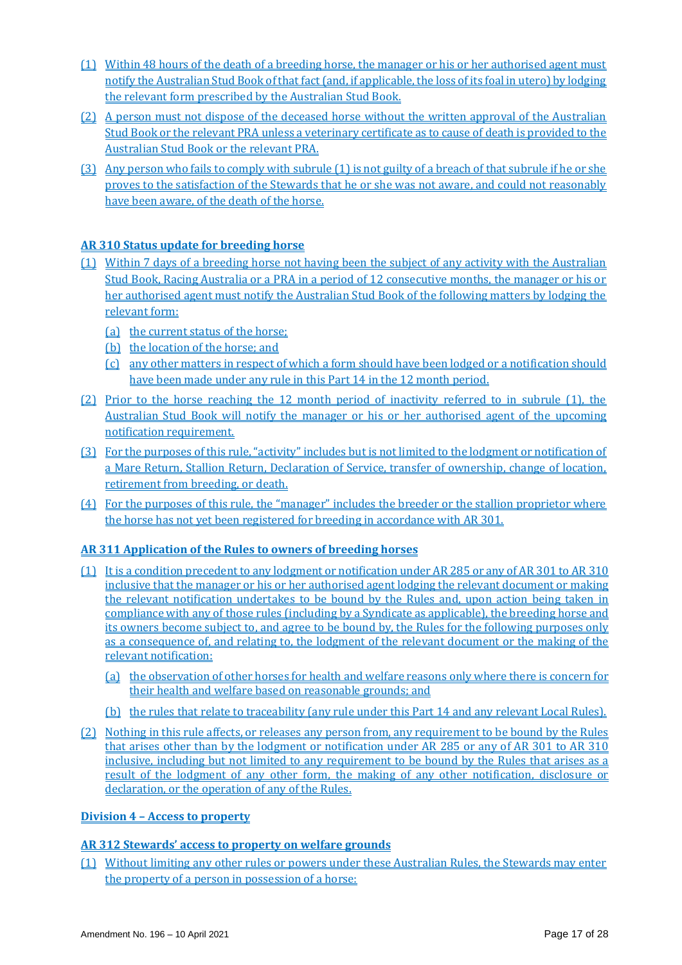- (1) Within 48 hours of the death of a breeding horse, the manager or his or her authorised agent must notify the Australian Stud Book of that fact (and, if applicable, the loss of its foal in utero) by lodging the relevant form prescribed by the Australian Stud Book.
- (2) A person must not dispose of the deceased horse without the written approval of the Australian Stud Book or the relevant PRA unless a veterinary certificate as to cause of death is provided to the Australian Stud Book or the relevant PRA.
- (3) Any person who fails to comply with subrule (1) is not guilty of a breach of that subrule if he or she proves to the satisfaction of the Stewards that he or she was not aware, and could not reasonably have been aware, of the death of the horse.

## **AR 310 Status update for breeding horse**

- (1) Within 7 days of a breeding horse not having been the subject of any activity with the Australian Stud Book, Racing Australia or a PRA in a period of 12 consecutive months, the manager or his or her authorised agent must notify the Australian Stud Book of the following matters by lodging the relevant form:
	- (a) the current status of the horse;
	- (b) the location of the horse; and
	- (c) any other matters in respect of which a form should have been lodged or a notification should have been made under any rule in this Part 14 in the 12 month period.
- (2) Prior to the horse reaching the 12 month period of inactivity referred to in subrule (1), the Australian Stud Book will notify the manager or his or her authorised agent of the upcoming notification requirement.
- (3) For the purposes of this rule, "activity" includes but is not limited to the lodgment or notification of a Mare Return, Stallion Return, Declaration of Service, transfer of ownership, change of location, retirement from breeding, or death.
- (4) For the purposes of this rule, the "manager" includes the breeder or the stallion proprietor where the horse has not yet been registered for breeding in accordance with AR 301.

## **AR 311 Application of the Rules to owners of breeding horses**

- (1) It is a condition precedent to any lodgment or notification under AR 285 or any of AR 301 to AR 310 inclusive that the manager or his or her authorised agent lodging the relevant document or making the relevant notification undertakes to be bound by the Rules and, upon action being taken in compliance with any of those rules (including by a Syndicate as applicable), the breeding horse and its owners become subject to, and agree to be bound by, the Rules for the following purposes only as a consequence of, and relating to, the lodgment of the relevant document or the making of the relevant notification:
	- (a) the observation of other horses for health and welfare reasons only where there is concern for their health and welfare based on reasonable grounds; and
	- (b) the rules that relate to traceability (any rule under this Part 14 and any relevant Local Rules).
- (2) Nothing in this rule affects, or releases any person from, any requirement to be bound by the Rules that arises other than by the lodgment or notification under AR 285 or any of AR 301 to AR 310 inclusive, including but not limited to any requirement to be bound by the Rules that arises as a result of the lodgment of any other form, the making of any other notification, disclosure or declaration, or the operation of any of the Rules.

## **Division 4 – Access to property**

## **AR 312 Stewards' access to property on welfare grounds**

(1) Without limiting any other rules or powers under these Australian Rules, the Stewards may enter the property of a person in possession of a horse: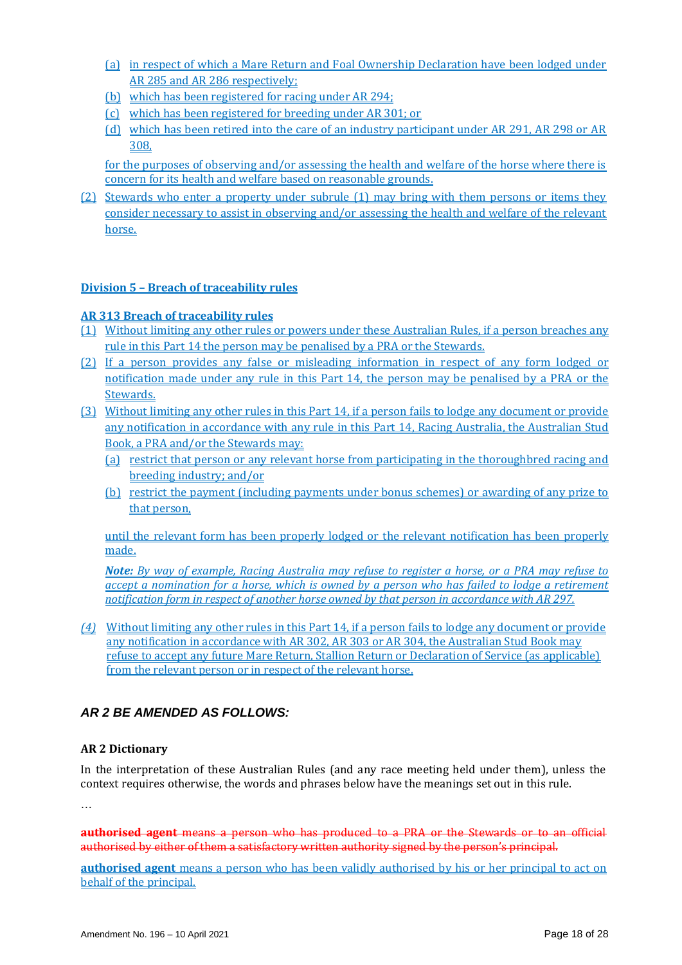- (a) in respect of which a Mare Return and Foal Ownership Declaration have been lodged under AR 285 and AR 286 respectively;
- (b) which has been registered for racing under AR 294;
- (c) which has been registered for breeding under AR 301; or
- (d) which has been retired into the care of an industry participant under AR 291, AR 298 or AR 308,

for the purposes of observing and/or assessing the health and welfare of the horse where there is concern for its health and welfare based on reasonable grounds.

(2) Stewards who enter a property under subrule (1) may bring with them persons or items they consider necessary to assist in observing and/or assessing the health and welfare of the relevant horse.

## **Division 5 – Breach of traceability rules**

**AR 313 Breach of traceability rules**

- (1) Without limiting any other rules or powers under these Australian Rules, if a person breaches any rule in this Part 14 the person may be penalised by a PRA or the Stewards.
- (2) If a person provides any false or misleading information in respect of any form lodged or notification made under any rule in this Part 14, the person may be penalised by a PRA or the Stewards.
- (3) Without limiting any other rules in this Part 14, if a person fails to lodge any document or provide any notification in accordance with any rule in this Part 14, Racing Australia, the Australian Stud Book, a PRA and/or the Stewards may:
	- (a) restrict that person or any relevant horse from participating in the thoroughbred racing and breeding industry; and/or
	- (b) restrict the payment (including payments under bonus schemes) or awarding of any prize to that person,

until the relevant form has been properly lodged or the relevant notification has been properly made.

*Note: By way of example, Racing Australia may refuse to register a horse, or a PRA may refuse to accept a nomination for a horse, which is owned by a person who has failed to lodge a retirement notification form in respect of another horse owned by that person in accordance with AR 297.*

*(4)* Without limiting any other rules in this Part 14, if a person fails to lodge any document or provide any notification in accordance with AR 302, AR 303 or AR 304, the Australian Stud Book may refuse to accept any future Mare Return, Stallion Return or Declaration of Service (as applicable) from the relevant person or in respect of the relevant horse.

## *AR 2 BE AMENDED AS FOLLOWS:*

## **AR 2 Dictionary**

In the interpretation of these Australian Rules (and any race meeting held under them), unless the context requires otherwise, the words and phrases below have the meanings set out in this rule.

…

**authorised agent** means a person who has produced to a PRA or the Stewards or to an official authorised by either of them a satisfactory written authority signed by the person's principal.

**authorised agent** means a person who has been validly authorised by his or her principal to act on behalf of the principal.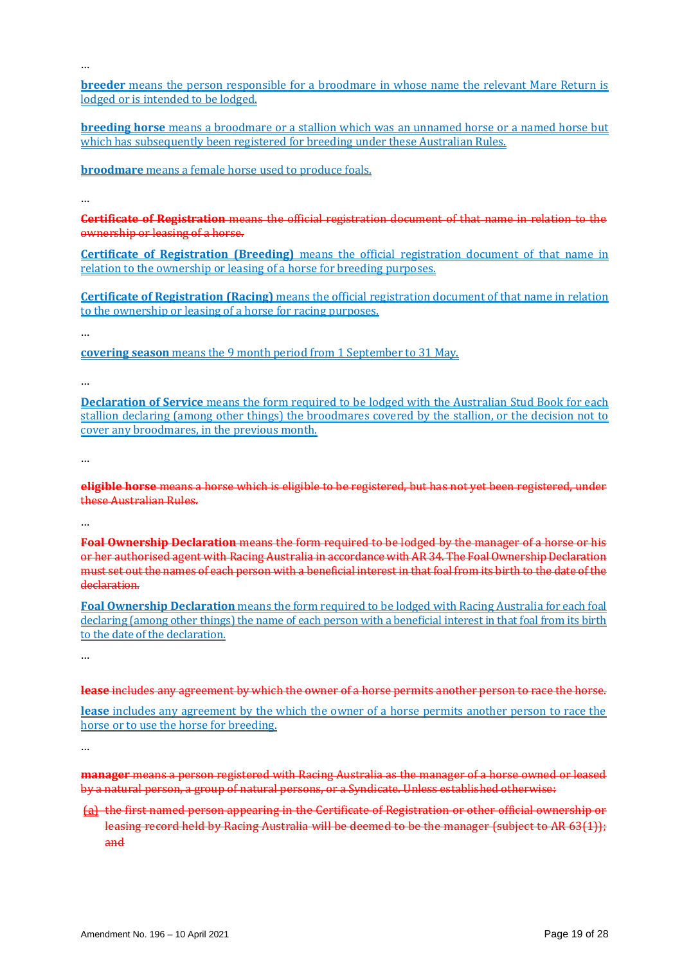…

**breeder** means the person responsible for a broodmare in whose name the relevant Mare Return is lodged or is intended to be lodged.

**breeding horse** means a broodmare or a stallion which was an unnamed horse or a named horse but which has subsequently been registered for breeding under these Australian Rules.

**broodmare** means a female horse used to produce foals.

…

**Certificate of Registration** means the official registration document of that name in relation to the ownership or leasing of a horse.

**Certificate of Registration (Breeding)** means the official registration document of that name in relation to the ownership or leasing of a horse for breeding purposes.

**Certificate of Registration (Racing)** means the official registration document of that name in relation to the ownership or leasing of a horse for racing purposes.

…

**covering season** means the 9 month period from 1 September to 31 May.

…

**Declaration of Service** means the form required to be lodged with the Australian Stud Book for each stallion declaring (among other things) the broodmares covered by the stallion, or the decision not to cover any broodmares, in the previous month.

…

**eligible horse** means a horse which is eligible to be registered, but has not yet been registered, under these Australian Rules.

…

**Foal Ownership Declaration** means the form required to be lodged by the manager of a horse or his or her authorised agent with Racing Australia in accordance with AR 34. The Foal Ownership Declaration must set out the names of each person with a beneficial interest in that foal from its birth to the date of the declaration.

**Foal Ownership Declaration** means the form required to be lodged with Racing Australia for each foal declaring (among other things) the name of each person with a beneficial interest in that foal from its birth to the date of the declaration.

…

**lease** includes any agreement by which the owner of a horse permits another person to race the horse.

**lease** includes any agreement by the which the owner of a horse permits another person to race the horse or to use the horse for breeding.

…

**manager** means a person registered with Racing Australia as the manager of a horse owned or leased by a natural person, a group of natural persons, or a Syndicate. Unless established otherwise:

(a) the first named person appearing in the Certificate of Registration or other official ownership or leasing record held by Racing Australia will be deemed to be the manager (subject to AR 63(1)); and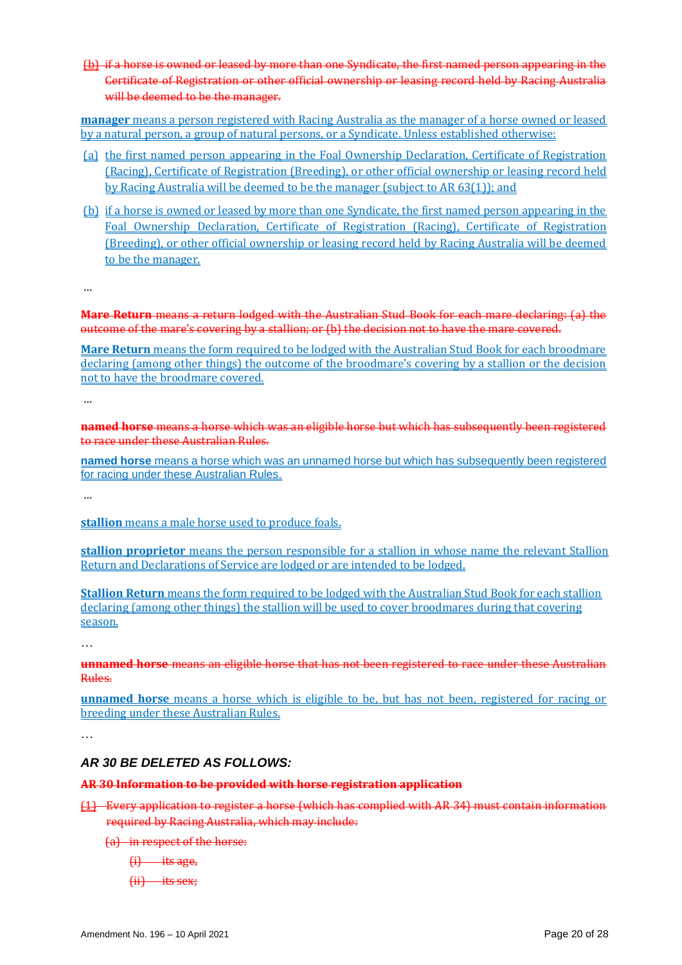(b) if a horse is owned or leased by more than one Syndicate, the first named person appearing in the Certificate of Registration or other official ownership or leasing record held by Racing Australia will be deemed to be the manager.

**manager** means a person registered with Racing Australia as the manager of a horse owned or leased by a natural person, a group of natural persons, or a Syndicate. Unless established otherwise:

- (a) the first named person appearing in the Foal Ownership Declaration, Certificate of Registration (Racing), Certificate of Registration (Breeding), or other official ownership or leasing record held by Racing Australia will be deemed to be the manager (subject to AR 63(1)); and
- (b) if a horse is owned or leased by more than one Syndicate, the first named person appearing in the Foal Ownership Declaration, Certificate of Registration (Racing), Certificate of Registration (Breeding), or other official ownership or leasing record held by Racing Australia will be deemed to be the manager.

…

**Mare Return** means a return lodged with the Australian Stud Book for each mare declaring: (a) the outcome of the mare's covering by a stallion; or (b) the decision not to have the mare covered.

**Mare Return** means the form required to be lodged with the Australian Stud Book for each broodmare declaring (among other things) the outcome of the broodmare's covering by a stallion or the decision not to have the broodmare covered.

…

**named horse** means a horse which was an eligible horse but which has subsequently been registered to race under these Australian Rules.

**named horse** means a horse which was an unnamed horse but which has subsequently been registered for racing under these Australian Rules.

…

**stallion** means a male horse used to produce foals.

**stallion proprietor** means the person responsible for a stallion in whose name the relevant Stallion Return and Declarations of Service are lodged or are intended to be lodged.

**Stallion Return** means the form required to be lodged with the Australian Stud Book for each stallion declaring (among other things) the stallion will be used to cover broodmares during that covering season.

…

**unnamed horse** means an eligible horse that has not been registered to race under these Australian Rules.

**unnamed horse** means a horse which is eligible to be, but has not been, registered for racing or breeding under these Australian Rules.

…

## *AR 30 BE DELETED AS FOLLOWS:*

## **AR 30 Information to be provided with horse registration application**

- (1) Every application to register a horse (which has complied with AR 34) must contain information required by Racing Australia, which may include:
	- (a) in respect of the horse:
		- $(i)$  its age,
		- $(ii)$  its sex;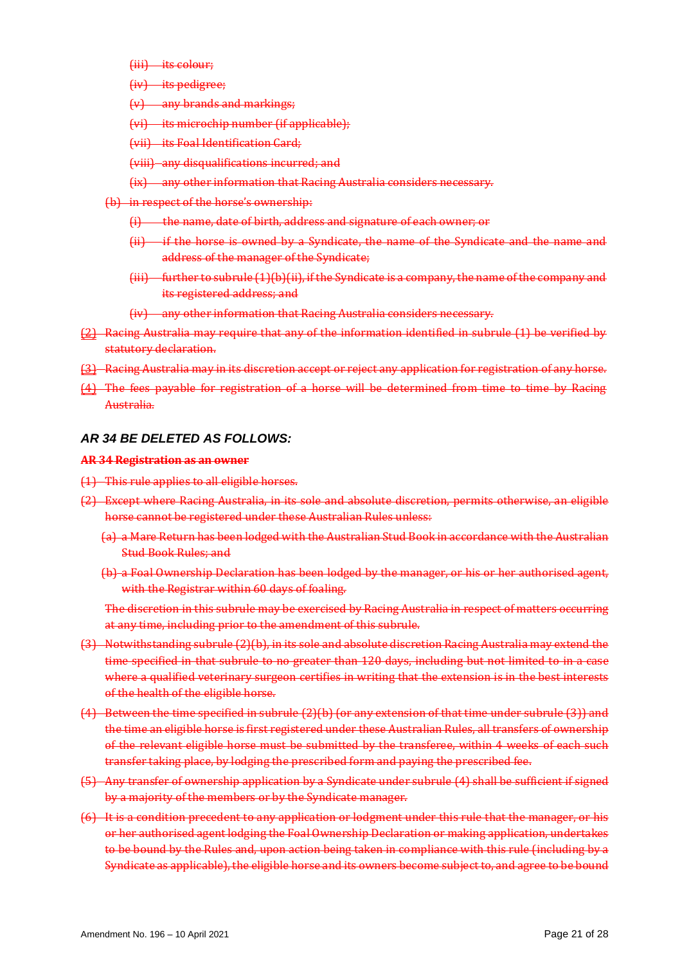- (iii) its colour;
- $(iv)$  its pedigree;
- (v) any brands and markings;
- (vi) its microchip number (if applicable);
- (vii) its Foal Identification Card;
- (viii) any disqualifications incurred; and
- (ix) any other information that Racing Australia considers necessary.
- (b) in respect of the horse's ownership:
	- (i) the name, date of birth, address and signature of each owner; or
	- $(i)$  if the horse is owned by a Syndicate, the name of the Syndicate and the name and address of the manager of the Syndicate;
	- $(iii)$  further to subrule  $(1)(b)(ii)$ , if the Syndicate is a company, the name of the company and its registered address; and
	- (iv) any other information that Racing Australia considers necessary.
- (2) Racing Australia may require that any of the information identified in subrule (1) be verified by statutory declaration.
- (3) Racing Australia may in its discretion accept or reject any application for registration of any horse.
- (4) The fees payable for registration of a horse will be determined from time to time by Racing Australia.

#### *AR 34 BE DELETED AS FOLLOWS:*

#### **AR 34 Registration as an owner**

- (1) This rule applies to all eligible horses.
- (2) Except where Racing Australia, in its sole and absolute discretion, permits otherwise, an eligible horse cannot be registered under these Australian Rules unless:
	- (a) a Mare Return has been lodged with the Australian Stud Book in accordance with the Australian Stud Book Rules; and
	- (b) a Foal Ownership Declaration has been lodged by the manager, or his or her authorised agent, with the Registrar within 60 days of foaling.

The discretion in this subrule may be exercised by Racing Australia in respect of matters occurring at any time, including prior to the amendment of this subrule.

- (3) Notwithstanding subrule (2)(b), in its sole and absolute discretion Racing Australia may extend the time specified in that subrule to no greater than 120 days, including but not limited to in a case where a qualified veterinary surgeon certifies in writing that the extension is in the best interests of the health of the eligible horse.
- (4) Between the time specified in subrule (2)(b) (or any extension of that time under subrule (3)) and the time an eligible horse is first registered under these Australian Rules, all transfers of ownership of the relevant eligible horse must be submitted by the transferee, within 4 weeks of each such transfer taking place, by lodging the prescribed form and paying the prescribed fee.
- (5) Any transfer of ownership application by a Syndicate under subrule (4) shall be sufficient if signed by a majority of the members or by the Syndicate manager.
- (6) It is a condition precedent to any application or lodgment under this rule that the manager, or his or her authorised agent lodging the Foal Ownership Declaration or making application, undertakes to be bound by the Rules and, upon action being taken in compliance with this rule (including by a Syndicate as applicable), the eligible horse and its owners become subject to, and agree to be bound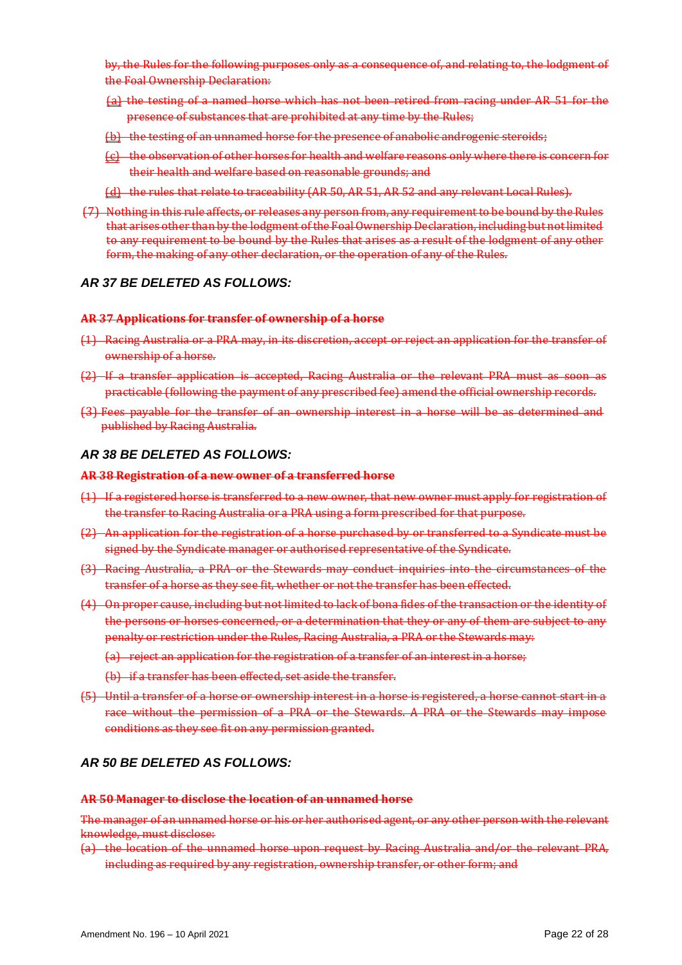by, the Rules for the following purposes only as a consequence of, and relating to, the lodgment of the Foal Ownership Declaration:

- (a) the testing of a named horse which has not been retired from racing under AR 51 for the presence of substances that are prohibited at any time by the Rules;
- (b) the testing of an unnamed horse for the presence of anabolic androgenic steroids;
- $\{c\}$  the observation of other horses for health and welfare reasons only where there is concern for their health and welfare based on reasonable grounds; and
- (d) the rules that relate to traceability (AR 50, AR 51, AR 52 and any relevant Local Rules).
- (7) Nothing in this rule affects, or releases any person from, any requirement to be bound by the Rules that arises other than by the lodgment of the Foal Ownership Declaration, including but not limited to any requirement to be bound by the Rules that arises as a result of the lodgment of any other form, the making of any other declaration, or the operation of any of the Rules.

## *AR 37 BE DELETED AS FOLLOWS:*

#### **AR 37 Applications for transfer of ownership of a horse**

- (1) Racing Australia or a PRA may, in its discretion, accept or reject an application for the transfer of ownership of a horse.
- (2) If a transfer application is accepted, Racing Australia or the relevant PRA must as soon as practicable (following the payment of any prescribed fee) amend the official ownership records.
- (3) Fees payable for the transfer of an ownership interest in a horse will be as determined and published by Racing Australia.

#### *AR 38 BE DELETED AS FOLLOWS:*

#### **AR 38 Registration of a new owner of a transferred horse**

- (1) If a registered horse is transferred to a new owner, that new owner must apply for registration of the transfer to Racing Australia or a PRA using a form prescribed for that purpose.
- (2) An application for the registration of a horse purchased by or transferred to a Syndicate must be signed by the Syndicate manager or authorised representative of the Syndicate.
- (3) Racing Australia, a PRA or the Stewards may conduct inquiries into the circumstances of the transfer of a horse as they see fit, whether or not the transfer has been effected.
- (4) On proper cause, including but not limited to lack of bona fides of the transaction or the identity of the persons or horses concerned, or a determination that they or any of them are subject to any penalty or restriction under the Rules, Racing Australia, a PRA or the Stewards may:
	- (a) reject an application for the registration of a transfer of an interest in a horse;
	- (b) if a transfer has been effected, set aside the transfer.
- (5) Until a transfer of a horse or ownership interest in a horse is registered, a horse cannot start in a race without the permission of a PRA or the Stewards. A PRA or the Stewards may impose conditions as they see fit on any permission granted.

## *AR 50 BE DELETED AS FOLLOWS:*

### **AR 50 Manager to disclose the location of an unnamed horse**

The manager of an unnamed horse or his or her authorised agent, or any other person with the relevant knowledge, must disclose:

(a) the location of the unnamed horse upon request by Racing Australia and/or the relevant PRA, including as required by any registration, ownership transfer, or other form; and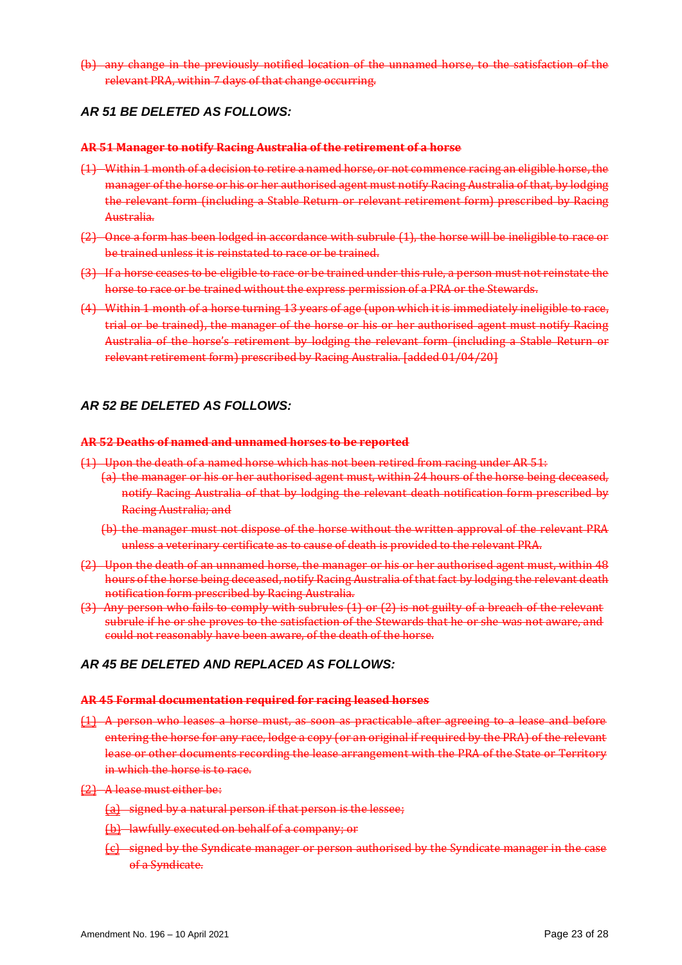(b) any change in the previously notified location of the unnamed horse, to the satisfaction of the relevant PRA, within 7 days of that change occurring.

## *AR 51 BE DELETED AS FOLLOWS:*

#### **AR 51 Manager to notify Racing Australia of the retirement of a horse**

- (1) Within 1 month of a decision to retire a named horse, or not commence racing an eligible horse, the manager of the horse or his or her authorised agent must notify Racing Australia of that, by lodging the relevant form (including a Stable Return or relevant retirement form) prescribed by Racing Australia.
- (2) Once a form has been lodged in accordance with subrule (1), the horse will be ineligible to race or be trained unless it is reinstated to race or be trained.
- (3) If a horse ceases to be eligible to race or be trained under this rule, a person must not reinstate the horse to race or be trained without the express permission of a PRA or the Stewards.
- (4) Within 1 month of a horse turning 13 years of age (upon which it is immediately ineligible to race, trial or be trained), the manager of the horse or his or her authorised agent must notify Racing Australia of the horse's retirement by lodging the relevant form (including a Stable Return or relevant retirement form) prescribed by Racing Australia. [added 01/04/20]

## *AR 52 BE DELETED AS FOLLOWS:*

#### **AR 52 Deaths of named and unnamed horses to be reported**

- (1) Upon the death of a named horse which has not been retired from racing under AR 51:
	- (a) the manager or his or her authorised agent must, within 24 hours of the horse being deceased, notify Racing Australia of that by lodging the relevant death notification form prescribed by Racing Australia; and
	- (b) the manager must not dispose of the horse without the written approval of the relevant PRA unless a veterinary certificate as to cause of death is provided to the relevant PRA.
- (2) Upon the death of an unnamed horse, the manager or his or her authorised agent must, within 48 hours of the horse being deceased, notify Racing Australia of that fact by lodging the relevant death notification form prescribed by Racing Australia.
- (3) Any person who fails to comply with subrules (1) or (2) is not guilty of a breach of the relevant subrule if he or she proves to the satisfaction of the Stewards that he or she was not aware, and could not reasonably have been aware, of the death of the horse.

## *AR 45 BE DELETED AND REPLACED AS FOLLOWS:*

#### **AR 45 Formal documentation required for racing leased horses**

- (1) A person who leases a horse must, as soon as practicable after agreeing to a lease and before entering the horse for any race, lodge a copy (or an original if required by the PRA) of the relevant lease or other documents recording the lease arrangement with the PRA of the State or Territory in which the horse is to race.
- (2) A lease must either be:
	- (a) signed by a natural person if that person is the lessee;
	- (b) lawfully executed on behalf of a company; or
	- (c) signed by the Syndicate manager or person authorised by the Syndicate manager in the case of a Syndicate.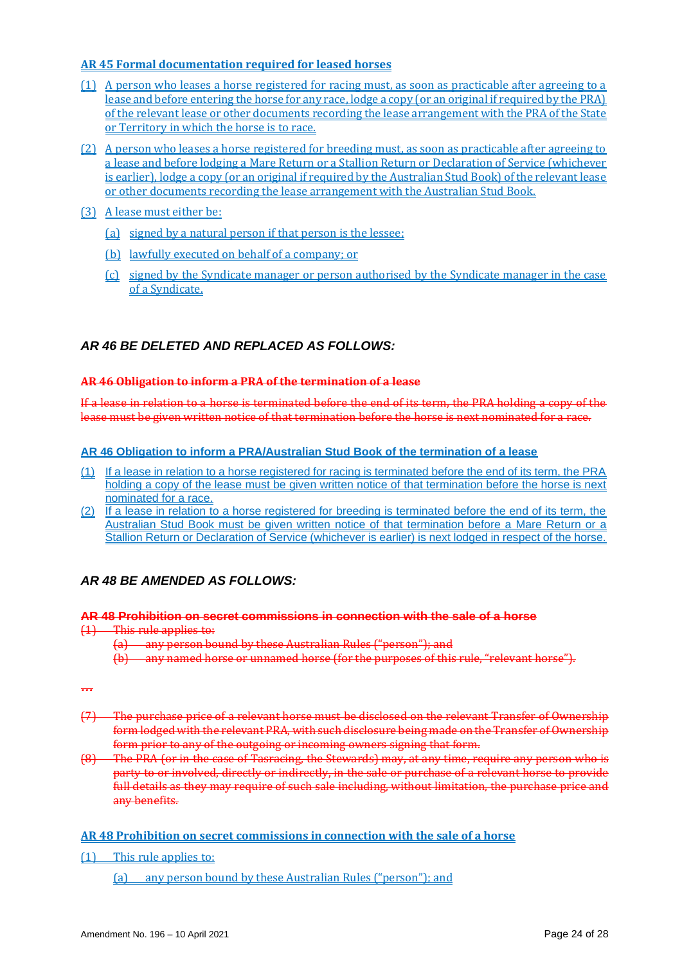## **AR 45 Formal documentation required for leased horses**

- (1) A person who leases a horse registered for racing must, as soon as practicable after agreeing to a lease and before entering the horse for any race, lodge a copy (or an original if required by the PRA) of the relevant lease or other documents recording the lease arrangement with the PRA of the State or Territory in which the horse is to race.
- (2) A person who leases a horse registered for breeding must, as soon as practicable after agreeing to a lease and before lodging a Mare Return or a Stallion Return or Declaration of Service (whichever is earlier), lodge a copy (or an original if required by the Australian Stud Book) of the relevant lease or other documents recording the lease arrangement with the Australian Stud Book.
- (3) A lease must either be:
	- (a) signed by a natural person if that person is the lessee;
	- (b) lawfully executed on behalf of a company; or
	- (c) signed by the Syndicate manager or person authorised by the Syndicate manager in the case of a Syndicate.

## *AR 46 BE DELETED AND REPLACED AS FOLLOWS:*

#### **AR 46 Obligation to inform a PRA of the termination of a lease**

If a lease in relation to a horse is terminated before the end of its term, the PRA holding a copy of the lease must be given written notice of that termination before the horse is next nominated for a race.

#### **AR 46 Obligation to inform a PRA/Australian Stud Book of the termination of a lease**

- (1) If a lease in relation to a horse registered for racing is terminated before the end of its term, the PRA holding a copy of the lease must be given written notice of that termination before the horse is next nominated for a race.
- (2) If a lease in relation to a horse registered for breeding is terminated before the end of its term, the Australian Stud Book must be given written notice of that termination before a Mare Return or a Stallion Return or Declaration of Service (whichever is earlier) is next lodged in respect of the horse.

## *AR 48 BE AMENDED AS FOLLOWS:*

#### **AR 48 Prohibition on secret commissions in connection with the sale of a horse**

- (1) This rule applies to:
	- (a) any person bound by these Australian Rules ("person"); and
	- (b) any named horse or unnamed horse (for the purposes of this rule, "relevant horse").

*…*

- (7) The purchase price of a relevant horse must be disclosed on the relevant Transfer of Ownership form lodged with the relevant PRA, with such disclosure being made on the Transfer of Ownership form prior to any of the outgoing or incoming owners signing that form.
- (8) The PRA (or in the case of Tasracing, the Stewards) may, at any time, require any person who is party to or involved, directly or indirectly, in the sale or purchase of a relevant horse to provide full details as they may require of such sale including, without limitation, the purchase price and any benefits.

## **AR 48 Prohibition on secret commissions in connection with the sale of a horse**

(1) This rule applies to:

(a) any person bound by these Australian Rules ("person"); and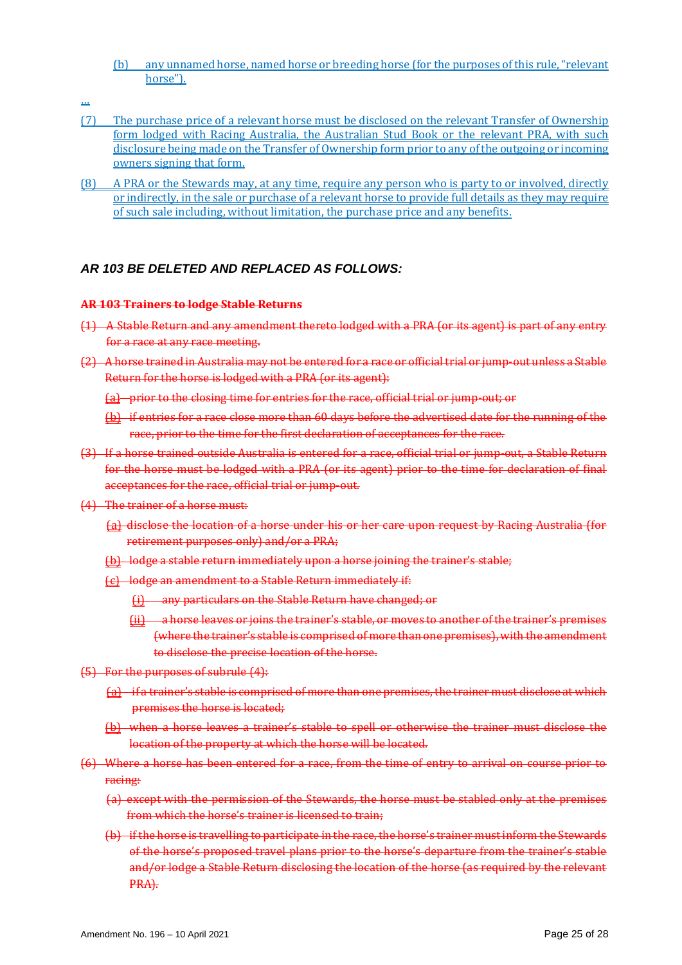- (b) any unnamed horse, named horse or breeding horse (for the purposes of this rule, "relevant horse").
- …
- (7) The purchase price of a relevant horse must be disclosed on the relevant Transfer of Ownership form lodged with Racing Australia, the Australian Stud Book or the relevant PRA, with such disclosure being made on the Transfer of Ownership form prior to any of the outgoing or incoming owners signing that form.
- (8) A PRA or the Stewards may, at any time, require any person who is party to or involved, directly or indirectly, in the sale or purchase of a relevant horse to provide full details as they may require of such sale including, without limitation, the purchase price and any benefits.

## *AR 103 BE DELETED AND REPLACED AS FOLLOWS:*

## **AR 103 Trainers to lodge Stable Returns**

- (1) A Stable Return and any amendment thereto lodged with a PRA (or its agent) is part of any entry for a race at any race meeting.
- (2) A horse trained in Australia may not be entered for a race or official trial or jump-out unless a Stable Return for the horse is lodged with a PRA (or its agent):
	- (a) prior to the closing time for entries for the race, official trial or jump-out; or
	- (b) if entries for a race close more than 60 days before the advertised date for the running of the race, prior to the time for the first declaration of acceptances for the race.
- (3) If a horse trained outside Australia is entered for a race, official trial or jump-out, a Stable Return for the horse must be lodged with a PRA (or its agent) prior to the time for declaration of final acceptances for the race, official trial or jump-out.
- (4) The trainer of a horse must:
	- (a) disclose the location of a horse under his or her care upon request by Racing Australia (for retirement purposes only) and/or a PRA;
	- (b) lodge a stable return immediately upon a horse joining the trainer's stable;
	- (c) lodge an amendment to a Stable Return immediately if:
		- (i) any particulars on the Stable Return have changed; or
		- (ii) a horse leaves or joins the trainer's stable, or moves to another of the trainer's premises (where the trainer's stable is comprised of more than one premises), with the amendment to disclose the precise location of the horse.
- (5) For the purposes of subrule (4):
	- (a) if a trainer's stable is comprised of more than one premises, the trainer must disclose at which premises the horse is located;
	- (b) when a horse leaves a trainer's stable to spell or otherwise the trainer must disclose the location of the property at which the horse will be located.
- (6) Where a horse has been entered for a race, from the time of entry to arrival on course prior to racing:
	- (a) except with the permission of the Stewards, the horse must be stabled only at the premises from which the horse's trainer is licensed to train;
	- (b) if the horse is travelling to participate in the race, the horse's trainer must inform the Stewards of the horse's proposed travel plans prior to the horse's departure from the trainer's stable and/or lodge a Stable Return disclosing the location of the horse (as required by the relevant PRA).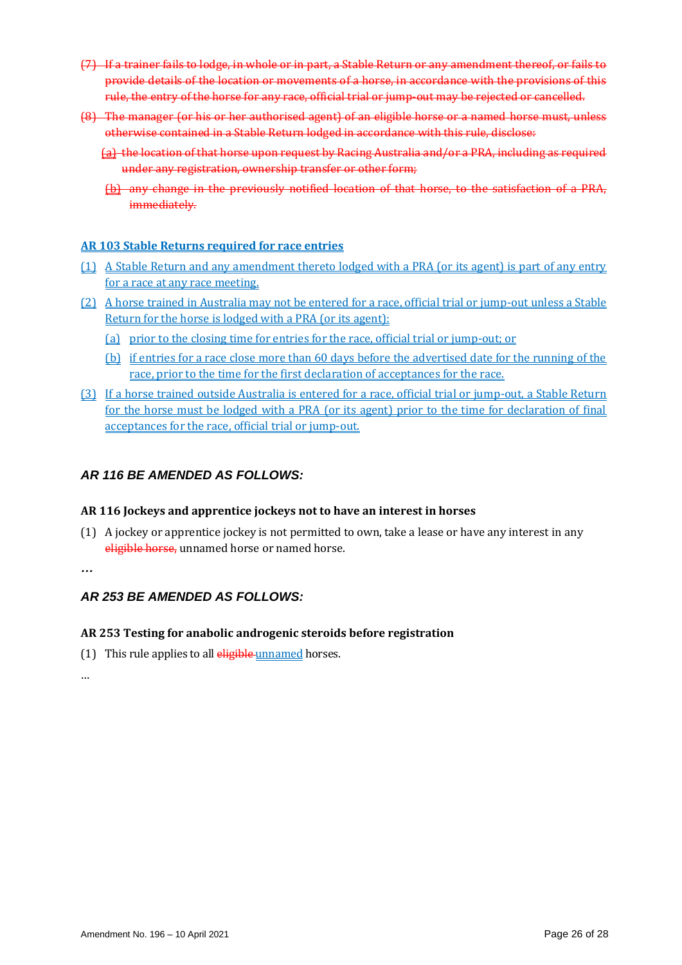- (7) If a trainer fails to lodge, in whole or in part, a Stable Return or any amendment thereof, or fails to provide details of the location or movements of a horse, in accordance with the provisions of this rule, the entry of the horse for any race, official trial or jump-out may be rejected or cancelled.
- (8) The manager (or his or her authorised agent) of an eligible horse or a named horse must, unless otherwise contained in a Stable Return lodged in accordance with this rule, disclose:
	- (a) the location of that horse upon request by Racing Australia and/or a PRA, including as required under any registration, ownership transfer or other form;
	- (b) any change in the previously notified location of that horse, to the satisfaction of a PRA, immediately.

## **AR 103 Stable Returns required for race entries**

- (1) A Stable Return and any amendment thereto lodged with a PRA (or its agent) is part of any entry for a race at any race meeting.
- (2) A horse trained in Australia may not be entered for a race, official trial or jump-out unless a Stable Return for the horse is lodged with a PRA (or its agent):
	- (a) prior to the closing time for entries for the race, official trial or jump-out; or
	- (b) if entries for a race close more than 60 days before the advertised date for the running of the race, prior to the time for the first declaration of acceptances for the race.
- (3) If a horse trained outside Australia is entered for a race, official trial or jump-out, a Stable Return for the horse must be lodged with a PRA (or its agent) prior to the time for declaration of final acceptances for the race, official trial or jump-out.

## *AR 116 BE AMENDED AS FOLLOWS:*

#### **AR 116 Jockeys and apprentice jockeys not to have an interest in horses**

(1) A jockey or apprentice jockey is not permitted to own, take a lease or have any interest in any eligible horse, unnamed horse or named horse.

*…*

## *AR 253 BE AMENDED AS FOLLOWS:*

## **AR 253 Testing for anabolic androgenic steroids before registration**

(1) This rule applies to all  $\frac{\text{eligible}}{\text{unnamed}}$  horses.

…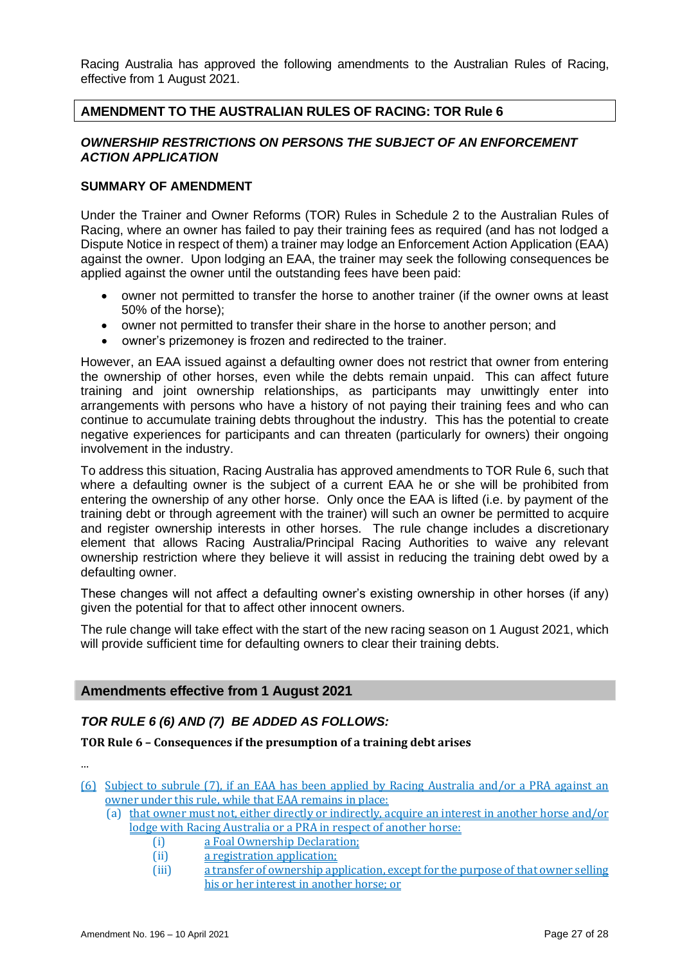Racing Australia has approved the following amendments to the Australian Rules of Racing, effective from 1 August 2021.

## **AMENDMENT TO THE AUSTRALIAN RULES OF RACING: TOR Rule 6**

## *OWNERSHIP RESTRICTIONS ON PERSONS THE SUBJECT OF AN ENFORCEMENT ACTION APPLICATION*

## **SUMMARY OF AMENDMENT**

Under the Trainer and Owner Reforms (TOR) Rules in Schedule 2 to the Australian Rules of Racing, where an owner has failed to pay their training fees as required (and has not lodged a Dispute Notice in respect of them) a trainer may lodge an Enforcement Action Application (EAA) against the owner. Upon lodging an EAA, the trainer may seek the following consequences be applied against the owner until the outstanding fees have been paid:

- owner not permitted to transfer the horse to another trainer (if the owner owns at least 50% of the horse);
- owner not permitted to transfer their share in the horse to another person; and
- owner's prizemoney is frozen and redirected to the trainer.

However, an EAA issued against a defaulting owner does not restrict that owner from entering the ownership of other horses, even while the debts remain unpaid. This can affect future training and joint ownership relationships, as participants may unwittingly enter into arrangements with persons who have a history of not paying their training fees and who can continue to accumulate training debts throughout the industry. This has the potential to create negative experiences for participants and can threaten (particularly for owners) their ongoing involvement in the industry.

To address this situation, Racing Australia has approved amendments to TOR Rule 6, such that where a defaulting owner is the subject of a current EAA he or she will be prohibited from entering the ownership of any other horse. Only once the EAA is lifted (i.e. by payment of the training debt or through agreement with the trainer) will such an owner be permitted to acquire and register ownership interests in other horses. The rule change includes a discretionary element that allows Racing Australia/Principal Racing Authorities to waive any relevant ownership restriction where they believe it will assist in reducing the training debt owed by a defaulting owner.

These changes will not affect a defaulting owner's existing ownership in other horses (if any) given the potential for that to affect other innocent owners.

The rule change will take effect with the start of the new racing season on 1 August 2021, which will provide sufficient time for defaulting owners to clear their training debts.

## **Amendments effective from 1 August 2021**

## *TOR RULE 6 (6) AND (7) BE ADDED AS FOLLOWS:*

**TOR Rule 6 – Consequences if the presumption of a training debt arises**

…

- (6) Subject to subrule (7), if an EAA has been applied by Racing Australia and/or a PRA against an owner under this rule, while that EAA remains in place:
	- (a) that owner must not, either directly or indirectly, acquire an interest in another horse and/or lodge with Racing Australia or a PRA in respect of another horse:
		- (i) a Foal Ownership Declaration;
		- (ii) a registration application;
		- (iii) a transfer of ownership application, except for the purpose of that owner selling his or her interest in another horse; or